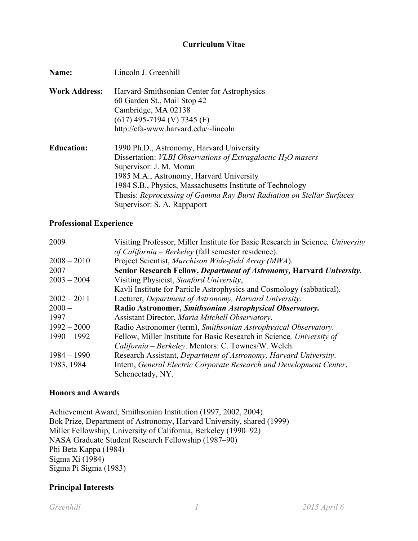## **Curriculum Vitae**

| Name:                | Lincoln J. Greenhill                                                                                                                                                                                                                                                                                                                                                   |
|----------------------|------------------------------------------------------------------------------------------------------------------------------------------------------------------------------------------------------------------------------------------------------------------------------------------------------------------------------------------------------------------------|
| <b>Work Address:</b> | Harvard-Smithsonian Center for Astrophysics<br>60 Garden St., Mail Stop 42<br>Cambridge, MA 02138<br>$(617)$ 495-7194 (V) 7345 (F)                                                                                                                                                                                                                                     |
|                      | http://cfa-www.harvard.edu/~lincoln                                                                                                                                                                                                                                                                                                                                    |
| <b>Education:</b>    | 1990 Ph.D., Astronomy, Harvard University<br>Dissertation: <i>VLBI Observations of Extragalactic H<sub>2</sub>O masers</i><br>Supervisor: J. M. Moran<br>1985 M.A., Astronomy, Harvard University<br>1984 S.B., Physics, Massachusetts Institute of Technology<br>Thesis: Reprocessing of Gamma Ray Burst Radiation on Stellar Surfaces<br>Supervisor: S. A. Rappaport |

# **Professional Experience**

| Visiting Professor, Miller Institute for Basic Research in Science, University |  |
|--------------------------------------------------------------------------------|--|
| of California – Berkeley (fall semester residence).                            |  |
| Project Scientist, Murchison Wide-field Array (MWA).                           |  |
| Senior Research Fellow, Department of Astronomy, Harvard University.           |  |
| Visiting Physicist, Stanford University,                                       |  |
| Kavli Institute for Particle Astrophysics and Cosmology (sabbatical).          |  |
| Lecturer, Department of Astronomy, Harvard University.                         |  |
| Radio Astronomer, Smithsonian Astrophysical Observatory.                       |  |
| Assistant Director, Maria Mitchell Observatory.                                |  |
| Radio Astronomer (term), Smithsonian Astrophysical Observatory.                |  |
| Fellow, Miller Institute for Basic Research in Science, University of          |  |
| California – Berkeley. Mentors: C. Townes/W. Welch.                            |  |
| Research Assistant, Department of Astronomy, Harvard University.               |  |
| Intern, General Electric Corporate Research and Development Center,            |  |
| Schenectady, NY.                                                               |  |
|                                                                                |  |

#### **Honors and Awards**

Achievement Award, Smithsonian Institution (1997, 2002, 2004) Bok Prize, Department of Astronomy, Harvard University, shared (1999) Miller Fellowship, University of California, Berkeley (1990–92) NASA Graduate Student Research Fellowship (1987–90) Phi Beta Kappa (1984) Sigma Xi (1984) Sigma Pi Sigma (1983)

## **Principal Interests**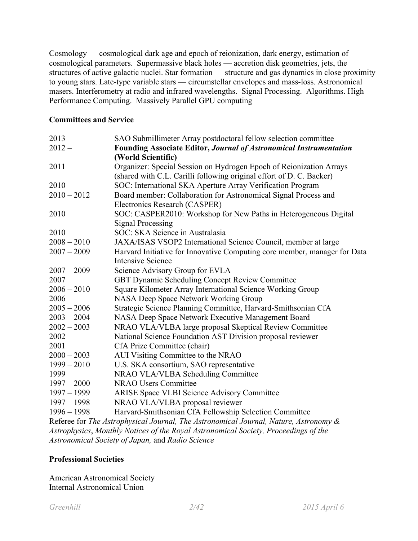Cosmology — cosmological dark age and epoch of reionization, dark energy, estimation of cosmological parameters. Supermassive black holes — accretion disk geometries, jets, the structures of active galactic nuclei. Star formation — structure and gas dynamics in close proximity to young stars. Late-type variable stars — circumstellar envelopes and mass-loss. Astronomical masers. Interferometry at radio and infrared wavelengths. Signal Processing. Algorithms. High Performance Computing. Massively Parallel GPU computing

## **Committees and Service**

| 2013          | SAO Submillimeter Array postdoctoral fellow selection committee                                                                                                                                                                                                                                                                                                 |  |
|---------------|-----------------------------------------------------------------------------------------------------------------------------------------------------------------------------------------------------------------------------------------------------------------------------------------------------------------------------------------------------------------|--|
| $2012 -$      | Founding Associate Editor, Journal of Astronomical Instrumentation                                                                                                                                                                                                                                                                                              |  |
|               | (World Scientific)                                                                                                                                                                                                                                                                                                                                              |  |
| 2011          | Organizer: Special Session on Hydrogen Epoch of Reionization Arrays                                                                                                                                                                                                                                                                                             |  |
|               | (shared with C.L. Carilli following original effort of D.C. Backer)                                                                                                                                                                                                                                                                                             |  |
| 2010          | SOC: International SKA Aperture Array Verification Program                                                                                                                                                                                                                                                                                                      |  |
| $2010 - 2012$ | Board member: Collaboration for Astronomical Signal Process and                                                                                                                                                                                                                                                                                                 |  |
|               | Electronics Research (CASPER)                                                                                                                                                                                                                                                                                                                                   |  |
| 2010          | SOC: CASPER2010: Workshop for New Paths in Heterogeneous Digital                                                                                                                                                                                                                                                                                                |  |
|               | <b>Signal Processing</b>                                                                                                                                                                                                                                                                                                                                        |  |
| 2010          | SOC: SKA Science in Australasia                                                                                                                                                                                                                                                                                                                                 |  |
| $2008 - 2010$ | JAXA/ISAS VSOP2 International Science Council, member at large                                                                                                                                                                                                                                                                                                  |  |
| $2007 - 2009$ | Harvard Initiative for Innovative Computing core member, manager for Data                                                                                                                                                                                                                                                                                       |  |
|               | <b>Intensive Science</b>                                                                                                                                                                                                                                                                                                                                        |  |
| $2007 - 2009$ | Science Advisory Group for EVLA                                                                                                                                                                                                                                                                                                                                 |  |
| 2007          | GBT Dynamic Scheduling Concept Review Committee                                                                                                                                                                                                                                                                                                                 |  |
| $2006 - 2010$ | Square Kilometer Array International Science Working Group                                                                                                                                                                                                                                                                                                      |  |
| 2006          | NASA Deep Space Network Working Group                                                                                                                                                                                                                                                                                                                           |  |
| $2005 - 2006$ | Strategic Science Planning Committee, Harvard-Smithsonian CfA                                                                                                                                                                                                                                                                                                   |  |
| $2003 - 2004$ | NASA Deep Space Network Executive Management Board                                                                                                                                                                                                                                                                                                              |  |
| $2002 - 2003$ | NRAO VLA/VLBA large proposal Skeptical Review Committee                                                                                                                                                                                                                                                                                                         |  |
| 2002          | National Science Foundation AST Division proposal reviewer                                                                                                                                                                                                                                                                                                      |  |
| 2001          | CfA Prize Committee (chair)                                                                                                                                                                                                                                                                                                                                     |  |
| $2000 - 2003$ | AUI Visiting Committee to the NRAO                                                                                                                                                                                                                                                                                                                              |  |
| $1999 - 2010$ | U.S. SKA consortium, SAO representative                                                                                                                                                                                                                                                                                                                         |  |
| 1999          | NRAO VLA/VLBA Scheduling Committee                                                                                                                                                                                                                                                                                                                              |  |
| $1997 - 2000$ | <b>NRAO Users Committee</b>                                                                                                                                                                                                                                                                                                                                     |  |
| $1997 - 1999$ | <b>ARISE Space VLBI Science Advisory Committee</b>                                                                                                                                                                                                                                                                                                              |  |
| $1997 - 1998$ | NRAO VLA/VLBA proposal reviewer                                                                                                                                                                                                                                                                                                                                 |  |
| $1996 - 1998$ | Harvard-Smithsonian CfA Fellowship Selection Committee                                                                                                                                                                                                                                                                                                          |  |
| $\mathbf{r}$  | $\overline{11}$ $\overline{11}$ $\overline{11}$ $\overline{11}$ $\overline{11}$ $\overline{11}$ $\overline{11}$ $\overline{11}$ $\overline{11}$ $\overline{11}$ $\overline{11}$ $\overline{11}$ $\overline{11}$ $\overline{11}$ $\overline{11}$ $\overline{11}$ $\overline{11}$ $\overline{11}$ $\overline{11}$ $\overline{11}$ $\overline{11}$ $\overline{11}$ |  |

Referee for *The Astrophysical Journal, The Astronomical Journal, Nature, Astronomy & Astrophysics*, *Monthly Notices of the Royal Astronomical Society, Proceedings of the Astronomical Society of Japan,* and *Radio Science*

## **Professional Societies**

American Astronomical Society Internal Astronomical Union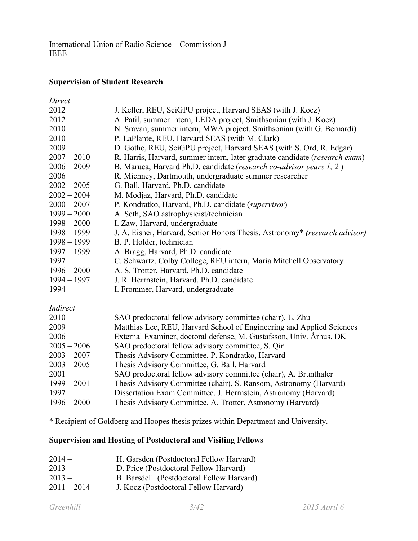International Union of Radio Science – Commission J IEEE

# **Supervision of Student Research**

| Direct        |                                                                             |
|---------------|-----------------------------------------------------------------------------|
| 2012          | J. Keller, REU, SciGPU project, Harvard SEAS (with J. Kocz)                 |
| 2012          | A. Patil, summer intern, LEDA project, Smithsonian (with J. Kocz)           |
| 2010          | N. Sravan, summer intern, MWA project, Smithsonian (with G. Bernardi)       |
| 2010          | P. LaPlante, REU, Harvard SEAS (with M. Clark)                              |
| 2009          | D. Gothe, REU, SciGPU project, Harvard SEAS (with S. Ord, R. Edgar)         |
| $2007 - 2010$ | R. Harris, Harvard, summer intern, later graduate candidate (research exam) |
| $2006 - 2009$ | B. Maruca, Harvard Ph.D. candidate (research co-advisor years 1, 2)         |
| 2006          | R. Michney, Dartmouth, undergraduate summer researcher                      |
| $2002 - 2005$ | G. Ball, Harvard, Ph.D. candidate                                           |
| $2002 - 2004$ | M. Modjaz, Harvard, Ph.D. candidate                                         |
| $2000 - 2007$ | P. Kondratko, Harvard, Ph.D. candidate (supervisor)                         |
| $1999 - 2000$ | A. Seth, SAO astrophysicist/technician                                      |
| $1998 - 2000$ | I. Zaw, Harvard, undergraduate                                              |
| $1998 - 1999$ | J. A. Eisner, Harvard, Senior Honors Thesis, Astronomy* (research advisor)  |
| $1998 - 1999$ | B. P. Holder, technician                                                    |
| $1997 - 1999$ | A. Bragg, Harvard, Ph.D. candidate                                          |
| 1997          | C. Schwartz, Colby College, REU intern, Maria Mitchell Observatory          |
| $1996 - 2000$ | A. S. Trotter, Harvard, Ph.D. candidate                                     |
| $1994 - 1997$ | J. R. Herrnstein, Harvard, Ph.D. candidate                                  |
| 1994          | I. Frommer, Harvard, undergraduate                                          |
| Indirect      |                                                                             |
| 2010          | SAO predoctoral fellow advisory committee (chair), L. Zhu                   |
| 2009          | Matthias Lee, REU, Harvard School of Engineering and Applied Sciences       |
| 2006          | External Examiner, doctoral defense, M. Gustafsson, Univ. Århus, DK         |
| $2005 - 2006$ | SAO predoctoral fellow advisory committee, S. Qin                           |
| $2003 - 2007$ | Thesis Advisory Committee, P. Kondratko, Harvard                            |
| $2003 - 2005$ | Thesis Advisory Committee, G. Ball, Harvard                                 |
| 2001          | SAO predoctoral fellow advisory committee (chair), A. Brunthaler            |
| $1999 - 2001$ | Thesis Advisory Committee (chair), S. Ransom, Astronomy (Harvard)           |
| 1997          | Dissertation Exam Committee, J. Herrnstein, Astronomy (Harvard)             |
| $1996 - 2000$ | Thesis Advisory Committee, A. Trotter, Astronomy (Harvard)                  |

\* Recipient of Goldberg and Hoopes thesis prizes within Department and University.

# **Supervision and Hosting of Postdoctoral and Visiting Fellows**

| $2014-$       | H. Garsden (Postdoctoral Fellow Harvard)  |
|---------------|-------------------------------------------|
| $2013 -$      | D. Price (Postdoctoral Fellow Harvard)    |
| $2013-$       | B. Barsdell (Postdoctoral Fellow Harvard) |
| $2011 - 2014$ | J. Kocz (Postdoctoral Fellow Harvard)     |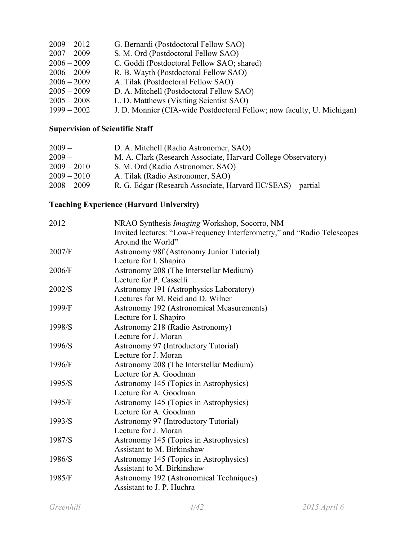- 2009 2012 G. Bernardi (Postdoctoral Fellow SAO)
- S. M. Ord (Postdoctoral Fellow SAO)
- 2006 2009 C. Goddi (Postdoctoral Fellow SAO; shared)
- 2006 2009 R. B. Wayth (Postdoctoral Fellow SAO)
- 2006 2009 A. Tilak (Postdoctoral Fellow SAO)
- 2005 2009 D. A. Mitchell (Postdoctoral Fellow SAO)
- 2005 2008 L. D. Matthews (Visiting Scientist SAO)
- 1999 2002 J. D. Monnier (CfA-wide Postdoctoral Fellow; now faculty, U. Michigan)

## **Supervision of Scientific Staff**

| $2009-$       | D. A. Mitchell (Radio Astronomer, SAO)                        |
|---------------|---------------------------------------------------------------|
| $2009-$       | M. A. Clark (Research Associate, Harvard College Observatory) |
| $2009 - 2010$ | S. M. Ord (Radio Astronomer, SAO)                             |
| $2009 - 2010$ | A. Tilak (Radio Astronomer, SAO)                              |
| $2008 - 2009$ | R. G. Edgar (Research Associate, Harvard IIC/SEAS) – partial  |
|               |                                                               |

## **Teaching Experience (Harvard University)**

| 2012   | NRAO Synthesis Imaging Workshop, Socorro, NM                                                 |
|--------|----------------------------------------------------------------------------------------------|
|        | Invited lectures: "Low-Frequency Interferometry," and "Radio Telescopes<br>Around the World" |
| 2007/F | Astronomy 98f (Astronomy Junior Tutorial)                                                    |
|        | Lecture for I. Shapiro                                                                       |
| 2006/F | Astronomy 208 (The Interstellar Medium)                                                      |
|        | Lecture for P. Casselli                                                                      |
| 2002/S | Astronomy 191 (Astrophysics Laboratory)                                                      |
|        | Lectures for M. Reid and D. Wilner                                                           |
| 1999/F | Astronomy 192 (Astronomical Measurements)                                                    |
|        | Lecture for I. Shapiro                                                                       |
| 1998/S | Astronomy 218 (Radio Astronomy)                                                              |
|        | Lecture for J. Moran                                                                         |
| 1996/S | Astronomy 97 (Introductory Tutorial)                                                         |
|        | Lecture for J. Moran                                                                         |
| 1996/F | Astronomy 208 (The Interstellar Medium)                                                      |
|        | Lecture for A. Goodman                                                                       |
| 1995/S | Astronomy 145 (Topics in Astrophysics)                                                       |
|        | Lecture for A. Goodman                                                                       |
| 1995/F | Astronomy 145 (Topics in Astrophysics)                                                       |
|        | Lecture for A. Goodman                                                                       |
| 1993/S | Astronomy 97 (Introductory Tutorial)                                                         |
|        | Lecture for J. Moran                                                                         |
| 1987/S | Astronomy 145 (Topics in Astrophysics)                                                       |
|        | <b>Assistant to M. Birkinshaw</b>                                                            |
| 1986/S | Astronomy 145 (Topics in Astrophysics)                                                       |
|        | Assistant to M. Birkinshaw                                                                   |
| 1985/F | Astronomy 192 (Astronomical Techniques)                                                      |
|        | Assistant to J. P. Huchra                                                                    |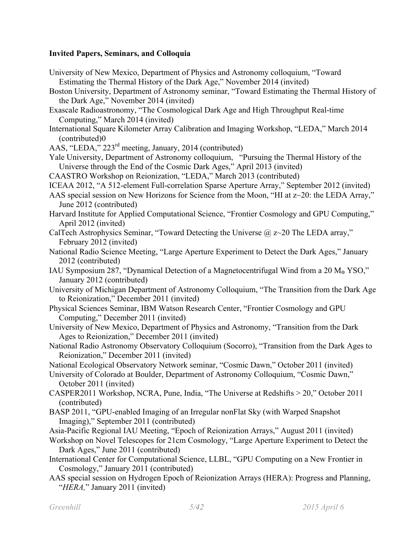# **Invited Papers, Seminars, and Colloquia**

| University of New Mexico, Department of Physics and Astronomy colloquium, "Toward                   |
|-----------------------------------------------------------------------------------------------------|
| Estimating the Thermal History of the Dark Age," November 2014 (invited)                            |
| Boston University, Department of Astronomy seminar, "Toward Estimating the Thermal History of       |
| the Dark Age," November 2014 (invited)                                                              |
| Exascale Radioastronomy, "The Cosmological Dark Age and High Throughput Real-time                   |
| Computing," March 2014 (invited)                                                                    |
| International Square Kilometer Array Calibration and Imaging Workshop, "LEDA," March 2014           |
| (contributed)0                                                                                      |
| AAS, "LEDA," 223 <sup>rd</sup> meeting, January, 2014 (contributed)                                 |
| Yale University, Department of Astronomy colloquium, "Pursuing the Thermal History of the           |
| Universe through the End of the Cosmic Dark Ages," April 2013 (invited)                             |
| CAASTRO Workshop on Reionization, "LEDA," March 2013 (contributed)                                  |
| ICEAA 2012, "A 512-element Full-correlation Sparse Aperture Array," September 2012 (invited)        |
| AAS special session on New Horizons for Science from the Moon, "HI at z~20: the LEDA Array,"        |
| June 2012 (contributed)                                                                             |
| Harvard Institute for Applied Computational Science, "Frontier Cosmology and GPU Computing,"        |
| April 2012 (invited)                                                                                |
| CalTech Astrophysics Seminar, "Toward Detecting the Universe $@$ z~20 The LEDA array,"              |
| February 2012 (invited)                                                                             |
| National Radio Science Meeting, "Large Aperture Experiment to Detect the Dark Ages," January        |
| 2012 (contributed)                                                                                  |
| IAU Symposium 287, "Dynamical Detection of a Magnetocentrifugal Wind from a 20 M <sub>o</sub> YSO," |
| January 2012 (contributed)                                                                          |
| University of Michigan Department of Astronomy Colloquium, "The Transition from the Dark Age        |
| to Reionization," December 2011 (invited)                                                           |
| Physical Sciences Seminar, IBM Watson Research Center, "Frontier Cosmology and GPU                  |
| Computing," December 2011 (invited)                                                                 |
| University of New Mexico, Department of Physics and Astronomy, "Transition from the Dark            |
| Ages to Reionization," December 2011 (invited)                                                      |
| National Radio Astronomy Observatory Colloquium (Socorro), "Transition from the Dark Ages to        |
| Reionization," December 2011 (invited)                                                              |
| National Ecological Observatory Network seminar, "Cosmic Dawn," October 2011 (invited)              |
| University of Colorado at Boulder, Department of Astronomy Colloquium, "Cosmic Dawn,"               |
| October 2011 (invited)                                                                              |
| CASPER2011 Workshop, NCRA, Pune, India, "The Universe at Redshifts > 20," October 2011              |
| (contributed)                                                                                       |
| BASP 2011, "GPU-enabled Imaging of an Irregular nonFlat Sky (with Warped Snapshot                   |
| Imaging)," September 2011 (contributed)                                                             |
| Asia-Pacific Regional IAU Meeting, "Epoch of Reionization Arrays," August 2011 (invited)            |
| Workshop on Novel Telescopes for 21cm Cosmology, "Large Aperture Experiment to Detect the           |
| Dark Ages," June 2011 (contributed)                                                                 |
| International Center for Computational Science, LLBL, "GPU Computing on a New Frontier in           |
| Cosmology," January 2011 (contributed)                                                              |
| AAS special session on Hydrogen Epoch of Reionization Arrays (HERA): Progress and Planning,         |

"*HERA,*" January 2011 (invited)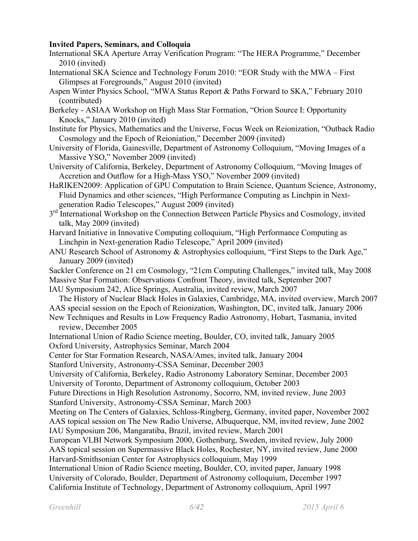## **Invited Papers, Seminars, and Colloquia**

- International SKA Aperture Array Verification Program: "The HERA Programme," December 2010 (invited)
- International SKA Science and Technology Forum 2010: "EOR Study with the MWA First Glimpses at Foregrounds," August 2010 (invited)
- Aspen Winter Physics School, "MWA Status Report & Paths Forward to SKA," February 2010 (contributed)
- Berkeley ASIAA Workshop on High Mass Star Formation, "Orion Source I: Opportunity Knocks," January 2010 (invited)
- Institute for Physics, Mathematics and the Universe, Focus Week on Reionization, "Outback Radio Cosmology and the Epoch of Reioniation," December 2009 (invited)
- University of Florida, Gainesville, Department of Astronomy Colloquium, "Moving Images of a Massive YSO," November 2009 (invited)
- University of California, Berkeley, Department of Astronomy Colloquium, "Moving Images of Accretion and Outflow for a High-Mass YSO," November 2009 (invited)
- HaRIKEN2009: Application of GPU Computation to Brain Science, Quantum Science, Astronomy, Fluid Dynamics and other sciences, "High Performance Computing as Linchpin in Nextgeneration Radio Telescopes," August 2009 (invited)
- 3rd International Workshop on the Connection Between Particle Physics and Cosmology, invited talk, May 2009 (invited)
- Harvard Initiative in Innovative Computing colloquium, "High Performance Computing as Linchpin in Next-generation Radio Telescope," April 2009 (invited)
- ANU Research School of Astronomy & Astrophysics colloquium, "First Steps to the Dark Age," January 2009 (invited)
- Sackler Conference on 21 cm Cosmology, "21cm Computing Challenges," invited talk, May 2008 Massive Star Formation: Observations Confront Theory, invited talk, September 2007

IAU Symposium 242, Alice Springs, Australia, invited review, March 2007

The History of Nuclear Black Holes in Galaxies, Cambridge, MA, invited overview, March 2007 AAS special session on the Epoch of Reionization, Washington, DC, invited talk, January 2006 New Techniques and Results in Low Frequency Radio Astronomy, Hobart, Tasmania, invited

- review, December 2005
- International Union of Radio Science meeting, Boulder, CO, invited talk, January 2005 Oxford University, Astrophysics Seminar, March 2004

Center for Star Formation Research, NASA/Ames, invited talk, January 2004

Stanford University, Astronomy-CSSA Seminar, December 2003

University of California, Berkeley, Radio Astronomy Laboratory Seminar, December 2003 University of Toronto, Department of Astronomy colloquium, October 2003

Future Directions in High Resolution Astronomy, Socorro, NM, invited review, June 2003 Stanford University, Astronomy-CSSA Seminar, March 2003

Meeting on The Centers of Galaxies, Schloss-Ringberg, Germany, invited paper, November 2002 AAS topical session on The New Radio Universe, Albuquerque, NM, invited review, June 2002 IAU Symposium 206, Mangaratiba, Brazil, invited review, March 2001

European VLBI Network Symposium 2000, Gothenburg, Sweden, invited review, July 2000 AAS topical session on Supermassive Black Holes, Rochester, NY, invited review, June 2000 Harvard-Smithsonian Center for Astrophysics colloquium, May 1999

International Union of Radio Science meeting, Boulder, CO, invited paper, January 1998 University of Colorado, Boulder, Department of Astronomy colloquium, December 1997 California Institute of Technology, Department of Astronomy colloquium, April 1997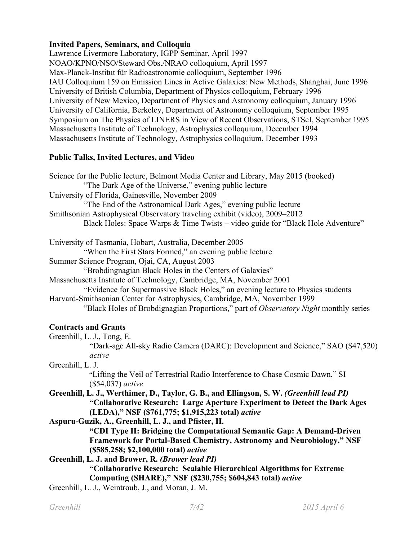## **Invited Papers, Seminars, and Colloquia**

Lawrence Livermore Laboratory, IGPP Seminar, April 1997 NOAO/KPNO/NSO/Steward Obs./NRAO colloquium, April 1997 Max-Planck-Institut für Radioastronomie colloquium, September 1996 IAU Colloquium 159 on Emission Lines in Active Galaxies: New Methods, Shanghai, June 1996 University of British Columbia, Department of Physics colloquium, February 1996 University of New Mexico, Department of Physics and Astronomy colloquium, January 1996 University of California, Berkeley, Department of Astronomy colloquium, September 1995 Symposium on The Physics of LINERS in View of Recent Observations, STScI, September 1995 Massachusetts Institute of Technology, Astrophysics colloquium, December 1994 Massachusetts Institute of Technology, Astrophysics colloquium, December 1993

## **Public Talks, Invited Lectures, and Video**

| Science for the Public lecture, Belmont Media Center and Library, May 2015 (booked)         |
|---------------------------------------------------------------------------------------------|
| "The Dark Age of the Universe," evening public lecture                                      |
| University of Florida, Gainesville, November 2009                                           |
| "The End of the Astronomical Dark Ages," evening public lecture                             |
| Smithsonian Astrophysical Observatory traveling exhibit (video), 2009–2012                  |
| Black Holes: Space Warps & Time Twists – video guide for "Black Hole Adventure"             |
| University of Tasmania, Hobart, Australia, December 2005                                    |
| "When the First Stars Formed," an evening public lecture                                    |
| Summer Science Program, Ojai, CA, August 2003                                               |
| "Brobding nagian Black Holes in the Centers of Galaxies"                                    |
| Massachusetts Institute of Technology, Cambridge, MA, November 2001                         |
| "Evidence for Supermassive Black Holes," an evening lecture to Physics students             |
| Harvard-Smithsonian Center for Astrophysics, Cambridge, MA, November 1999                   |
| "Black Holes of Brobdignagian Proportions," part of <i>Observatory Night</i> monthly series |

## **Contracts and Grants**

Greenhill, L. J., Tong, E. "Dark-age All-sky Radio Camera (DARC): Development and Science," SAO (\$47,520) *active* Greenhill, L. J. "Lifting the Veil of Terrestrial Radio Interference to Chase Cosmic Dawn," SI (\$54,037) *active* **Greenhill, L. J., Werthimer, D., Taylor, G. B., and Ellingson, S. W.** *(Greenhill lead PI)* **"Collaborative Research: Large Aperture Experiment to Detect the Dark Ages (LEDA)," NSF (\$761,775; \$1,915,223 total)** *active* **Aspuru-Guzik, A., Greenhill, L. J., and Pfister, H. "CDI Type II: Bridging the Computational Semantic Gap: A Demand-Driven Framework for Portal-Based Chemistry, Astronomy and Neurobiology," NSF (\$585,258; \$2,100,000 total)** *active* **Greenhill, L. J. and Brower, R.** *(Brower lead PI)* **"Collaborative Research: Scalable Hierarchical Algorithms for Extreme Computing (SHARE)," NSF (\$230,755; \$604,843 total)** *active*

Greenhill, L. J., Weintroub, J., and Moran, J. M.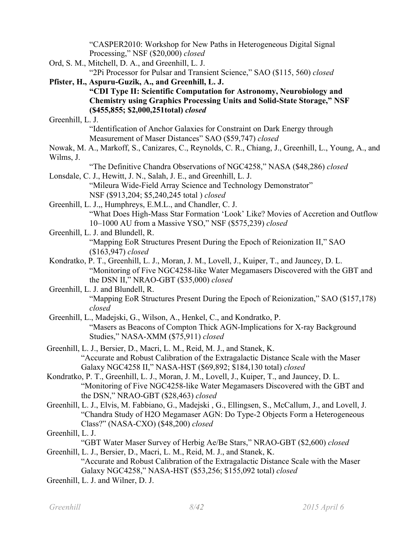"CASPER2010: Workshop for New Paths in Heterogeneous Digital Signal Processing," NSF (\$20,000) *closed* Ord, S. M., Mitchell, D. A., and Greenhill, L. J. "2Pi Processor for Pulsar and Transient Science," SAO (\$115, 560) *closed* **Pfister, H., Aspuru-Guzik, A., and Greenhill, L. J. "CDI Type II: Scientific Computation for Astronomy, Neurobiology and Chemistry using Graphics Processing Units and Solid-State Storage," NSF (\$455,855; \$2,000,251total)** *closed* Greenhill, L. J. "Identification of Anchor Galaxies for Constraint on Dark Energy through Measurement of Maser Distances" SAO (\$59,747) *closed* Nowak, M. A., Markoff, S., Canizares, C., Reynolds, C. R., Chiang, J., Greenhill, L., Young, A., and Wilms, J. "The Definitive Chandra Observations of NGC4258," NASA (\$48,286) *closed* Lonsdale, C. J., Hewitt, J. N., Salah, J. E., and Greenhill, L. J. "Mileura Wide-Field Array Science and Technology Demonstrator" NSF (\$913,204; \$5,240,245 total ) *closed* Greenhill, L. J.,, Humphreys, E.M.L., and Chandler, C. J. "What Does High-Mass Star Formation 'Look' Like? Movies of Accretion and Outflow 10–1000 AU from a Massive YSO," NSF (\$575,239) *closed* Greenhill, L. J. and Blundell, R. "Mapping EoR Structures Present During the Epoch of Reionization II," SAO (\$163,947) *closed* Kondratko, P. T., Greenhill, L. J., Moran, J. M., Lovell, J., Kuiper, T., and Jauncey, D. L. "Monitoring of Five NGC4258-like Water Megamasers Discovered with the GBT and the DSN II," NRAO-GBT (\$35,000) *closed* Greenhill, L. J. and Blundell, R. "Mapping EoR Structures Present During the Epoch of Reionization," SAO (\$157,178) *closed* Greenhill, L., Madejski, G., Wilson, A., Henkel, C., and Kondratko, P. "Masers as Beacons of Compton Thick AGN-Implications for X-ray Background Studies," NASA-XMM (\$75,911) *closed* Greenhill, L. J., Bersier, D., Macri, L. M., Reid, M. J., and Stanek, K. "Accurate and Robust Calibration of the Extragalactic Distance Scale with the Maser Galaxy NGC4258 II," NASA-HST (\$69,892; \$184,130 total) *closed* Kondratko, P. T., Greenhill, L. J., Moran, J. M., Lovell, J., Kuiper, T., and Jauncey, D. L. "Monitoring of Five NGC4258-like Water Megamasers Discovered with the GBT and the DSN," NRAO-GBT (\$28,463) *closed* Greenhill, L. J., Elvis, M. Fabbiano, G., Madejski , G., Ellingsen, S., McCallum, J., and Lovell, J. "Chandra Study of H2O Megamaser AGN: Do Type-2 Objects Form a Heterogeneous Class?" (NASA-CXO) (\$48,200) *closed* Greenhill, L. J. "GBT Water Maser Survey of Herbig Ae/Be Stars," NRAO-GBT (\$2,600) *closed* Greenhill, L. J., Bersier, D., Macri, L. M., Reid, M. J., and Stanek, K. "Accurate and Robust Calibration of the Extragalactic Distance Scale with the Maser Galaxy NGC4258," NASA-HST (\$53,256; \$155,092 total) *closed* Greenhill, L. J. and Wilner, D. J.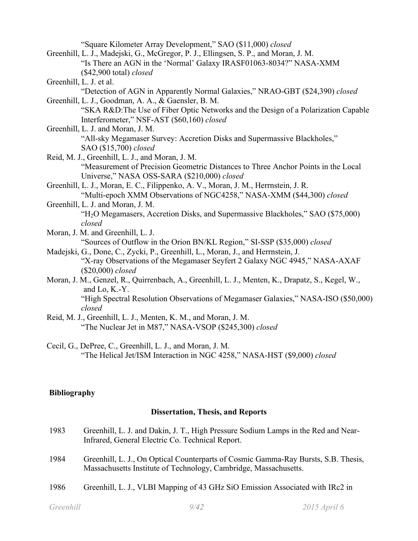"Square Kilometer Array Development," SAO (\$11,000) *closed*

- Greenhill, L. J., Madejski, G., McGregor, P. J., Ellingsen, S. P., and Moran, J. M. "Is There an AGN in the 'Normal' Galaxy IRASF01063-8034?" NASA-XMM (\$42,900 total) *closed*
- Greenhill, L. J. et al.
- "Detection of AGN in Apparently Normal Galaxies," NRAO-GBT (\$24,390) *closed* Greenhill, L. J., Goodman, A. A., & Gaensler, B. M.
	- "SKA R&D:The Use of Fiber Optic Networks and the Design of a Polarization Capable Interferometer," NSF-AST (\$60,160) *closed*
- Greenhill, L. J. and Moran, J. M. "All-sky Megamaser Survey: Accretion Disks and Supermassive Blackholes," SAO (\$15,700) *closed*
- Reid, M. J., Greenhill, L. J., and Moran, J. M. "Measurement of Precision Geometric Distances to Three Anchor Points in the Local Universe," NASA OSS-SARA (\$210,000) *closed*
- Greenhill, L. J., Moran, E. C., Filippenko, A. V., Moran, J. M., Herrnstein, J. R. "Multi-epoch XMM Observations of NGC4258," NASA-XMM (\$44,300) *closed*
- Greenhill, L. J. and Moran, J. M. "H2O Megamasers, Accretion Disks, and Supermassive Blackholes," SAO (\$75,000) *closed*
- Moran, J. M. and Greenhill, L. J. "Sources of Outflow in the Orion BN/KL Region," SI-SSP (\$35,000) *closed*
- Madejski, G., Done, C., Zycki, P., Greenhill, L., Moran, J., and Herrnstein, J. "X-ray Observations of the Megamaser Seyfert 2 Galaxy NGC 4945," NASA-AXAF (\$20,000) *closed*
- Moran, J. M., Genzel, R., Quirrenbach, A., Greenhill, L. J., Menten, K., Drapatz, S., Kegel, W., and Lo, K.-Y. "High Spectral Resolution Observations of Megamaser Galaxies," NASA-ISO (\$50,000) *closed*
- Reid, M. J., Greenhill, L. J., Menten, K. M., and Moran, J. M. "The Nuclear Jet in M87," NASA-VSOP (\$245,300) *closed*
- Cecil, G., DePree, C., Greenhill, L. J., and Moran, J. M. "The Helical Jet/ISM Interaction in NGC 4258," NASA-HST (\$9,000) *closed*

## **Bibliography**

#### **Dissertation, Thesis, and Reports**

- 1983 Greenhill, L. J. and Dakin, J. T., High Pressure Sodium Lamps in the Red and Near-Infrared, General Electric Co. Technical Report.
- 1984 Greenhill, L. J., On Optical Counterparts of Cosmic Gamma-Ray Bursts, S.B. Thesis, Massachusetts Institute of Technology, Cambridge, Massachusetts.
- 1986 Greenhill, L. J., VLBI Mapping of 43 GHz SiO Emission Associated with IRc2 in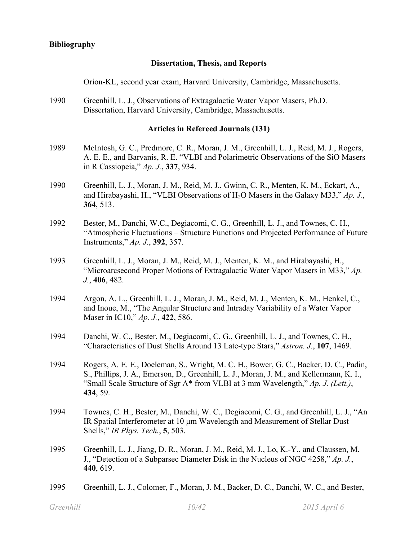## **Dissertation, Thesis, and Reports**

Orion-KL, second year exam, Harvard University, Cambridge, Massachusetts.

1990 Greenhill, L. J., Observations of Extragalactic Water Vapor Masers, Ph.D. Dissertation, Harvard University, Cambridge, Massachusetts.

## **Articles in Refereed Journals (131)**

- 1989 McIntosh, G. C., Predmore, C. R., Moran, J. M., Greenhill, L. J., Reid, M. J., Rogers, A. E. E., and Barvanis, R. E. "VLBI and Polarimetric Observations of the SiO Masers in R Cassiopeia," *Ap. J.*, **337**, 934.
- 1990 Greenhill, L. J., Moran, J. M., Reid, M. J., Gwinn, C. R., Menten, K. M., Eckart, A., and Hirabayashi, H., "VLBI Observations of H2O Masers in the Galaxy M33," *Ap. J.*, **364**, 513.
- 1992 Bester, M., Danchi, W.C., Degiacomi, C. G., Greenhill, L. J., and Townes, C. H., "Atmospheric Fluctuations – Structure Functions and Projected Performance of Future Instruments," *Ap. J.*, **392**, 357.
- 1993 Greenhill, L. J., Moran, J. M., Reid, M. J., Menten, K. M., and Hirabayashi, H., "Microarcsecond Proper Motions of Extragalactic Water Vapor Masers in M33," *Ap. J.*, **406**, 482.
- 1994 Argon, A. L., Greenhill, L. J., Moran, J. M., Reid, M. J., Menten, K. M., Henkel, C., and Inoue, M., "The Angular Structure and Intraday Variability of a Water Vapor Maser in IC10," *Ap. J.*, **422**, 586.
- 1994 Danchi, W. C., Bester, M., Degiacomi, C. G., Greenhill, L. J., and Townes, C. H., "Characteristics of Dust Shells Around 13 Late-type Stars," *Astron. J.*, **107**, 1469.
- 1994 Rogers, A. E. E., Doeleman, S., Wright, M. C. H., Bower, G. C., Backer, D. C., Padin, S., Phillips, J. A., Emerson, D., Greenhill, L. J., Moran, J. M., and Kellermann, K. I., "Small Scale Structure of Sgr A\* from VLBI at 3 mm Wavelength," *Ap. J. (Lett.)*, **434**, 59.
- 1994 Townes, C. H., Bester, M., Danchi, W. C., Degiacomi, C. G., and Greenhill, L. J., "An IR Spatial Interferometer at 10 µm Wavelength and Measurement of Stellar Dust Shells," *IR Phys. Tech.*, **5**, 503.
- 1995 Greenhill, L. J., Jiang, D. R., Moran, J. M., Reid, M. J., Lo, K.-Y., and Claussen, M. J., "Detection of a Subparsec Diameter Disk in the Nucleus of NGC 4258," *Ap. J.*, **440**, 619.
- 1995 Greenhill, L. J., Colomer, F., Moran, J. M., Backer, D. C., Danchi, W. C., and Bester,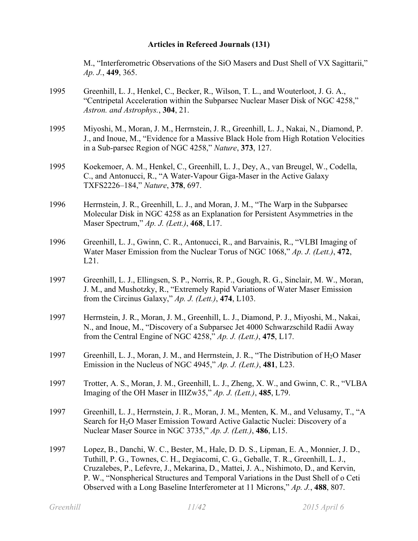M., "Interferometric Observations of the SiO Masers and Dust Shell of VX Sagittarii," *Ap. J.*, **449**, 365.

- 1995 Greenhill, L. J., Henkel, C., Becker, R., Wilson, T. L., and Wouterloot, J. G. A., "Centripetal Acceleration within the Subparsec Nuclear Maser Disk of NGC 4258," *Astron. and Astrophys.*, **304**, 21.
- 1995 Miyoshi, M., Moran, J. M., Herrnstein, J. R., Greenhill, L. J., Nakai, N., Diamond, P. J., and Inoue, M., "Evidence for a Massive Black Hole from High Rotation Velocities in a Sub-parsec Region of NGC 4258," *Nature*, **373**, 127.
- 1995 Koekemoer, A. M., Henkel, C., Greenhill, L. J., Dey, A., van Breugel, W., Codella, C., and Antonucci, R., "A Water-Vapour Giga-Maser in the Active Galaxy TXFS2226–184," *Nature*, **378**, 697.
- 1996 Herrnstein, J. R., Greenhill, L. J., and Moran, J. M., "The Warp in the Subparsec Molecular Disk in NGC 4258 as an Explanation for Persistent Asymmetries in the Maser Spectrum," *Ap. J. (Lett.)*, **468**, L17.
- 1996 Greenhill, L. J., Gwinn, C. R., Antonucci, R., and Barvainis, R., "VLBI Imaging of Water Maser Emission from the Nuclear Torus of NGC 1068," *Ap. J. (Lett.)*, **472**, L21.
- 1997 Greenhill, L. J., Ellingsen, S. P., Norris, R. P., Gough, R. G., Sinclair, M. W., Moran, J. M., and Mushotzky, R., "Extremely Rapid Variations of Water Maser Emission from the Circinus Galaxy," *Ap. J. (Lett.)*, **474**, L103.
- 1997 Herrnstein, J. R., Moran, J. M., Greenhill, L. J., Diamond, P. J., Miyoshi, M., Nakai, N., and Inoue, M., "Discovery of a Subparsec Jet 4000 Schwarzschild Radii Away from the Central Engine of NGC 4258," *Ap. J. (Lett.)*, **475**, L17.
- 1997 Greenhill, L. J., Moran, J. M., and Herrnstein, J. R., "The Distribution of H<sub>2</sub>O Maser Emission in the Nucleus of NGC 4945," *Ap. J. (Lett.)*, **481**, L23.
- 1997 Trotter, A. S., Moran, J. M., Greenhill, L. J., Zheng, X. W., and Gwinn, C. R., "VLBA Imaging of the OH Maser in IIIZw35," *Ap. J. (Lett.)*, **485**, L79.
- 1997 Greenhill, L. J., Herrnstein, J. R., Moran, J. M., Menten, K. M., and Velusamy, T., "A Search for H<sub>2</sub>O Maser Emission Toward Active Galactic Nuclei: Discovery of a Nuclear Maser Source in NGC 3735," *Ap. J. (Lett.)*, **486**, L15.
- 1997 Lopez, B., Danchi, W. C., Bester, M., Hale, D. D. S., Lipman, E. A., Monnier, J. D., Tuthill, P. G., Townes, C. H., Degiacomi, C. G., Geballe, T. R., Greenhill, L. J., Cruzalebes, P., Lefevre, J., Mekarina, D., Mattei, J. A., Nishimoto, D., and Kervin, P. W., "Nonspherical Structures and Temporal Variations in the Dust Shell of o Ceti Observed with a Long Baseline Interferometer at 11 Microns," *Ap. J.*, **488**, 807.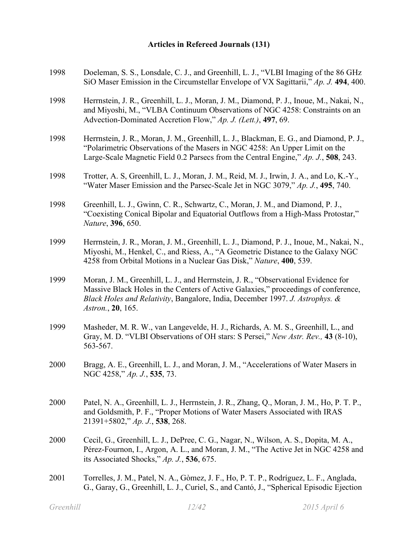| Greenhill | 12/42                                                                                                                                                                                                                                                                         | 2015 April 6 |
|-----------|-------------------------------------------------------------------------------------------------------------------------------------------------------------------------------------------------------------------------------------------------------------------------------|--------------|
| 2001      | Torrelles, J. M., Patel, N. A., Gòmez, J. F., Ho, P. T. P., Rodríguez, L. F., Anglada,<br>G., Garay, G., Greenhill, L. J., Curiel, S., and Cantó, J., "Spherical Episodic Ejection                                                                                            |              |
| 2000      | Cecil, G., Greenhill, L. J., DePree, C. G., Nagar, N., Wilson, A. S., Dopita, M. A.,<br>Pérez-Fournon, I., Argon, A. L., and Moran, J. M., "The Active Jet in NGC 4258 and<br>its Associated Shocks," Ap. J., 536, 675.                                                       |              |
| 2000      | Patel, N. A., Greenhill, L. J., Herrnstein, J. R., Zhang, Q., Moran, J. M., Ho, P. T. P.,<br>and Goldsmith, P. F., "Proper Motions of Water Masers Associated with IRAS<br>21391+5802," Ap. J., 538, 268.                                                                     |              |
| 2000      | Bragg, A. E., Greenhill, L. J., and Moran, J. M., "Accelerations of Water Masers in<br>NGC 4258," Ap. J., 535, 73.                                                                                                                                                            |              |
| 1999      | Masheder, M. R. W., van Langevelde, H. J., Richards, A. M. S., Greenhill, L., and<br>Gray, M. D. "VLBI Observations of OH stars: S Persei," New Astr. Rev., 43 (8-10),<br>563-567.                                                                                            |              |
| 1999      | Moran, J. M., Greenhill, L. J., and Herrnstein, J. R., "Observational Evidence for<br>Massive Black Holes in the Centers of Active Galaxies," proceedings of conference,<br>Black Holes and Relativity, Bangalore, India, December 1997. J. Astrophys. &<br>Astron., 20, 165. |              |
| 1999      | Herrnstein, J. R., Moran, J. M., Greenhill, L. J., Diamond, P. J., Inoue, M., Nakai, N.,<br>Miyoshi, M., Henkel, C., and Riess, A., "A Geometric Distance to the Galaxy NGC<br>4258 from Orbital Motions in a Nuclear Gas Disk," Nature, 400, 539.                            |              |
| 1998      | Greenhill, L. J., Gwinn, C. R., Schwartz, C., Moran, J. M., and Diamond, P. J.,<br>"Coexisting Conical Bipolar and Equatorial Outflows from a High-Mass Protostar,"<br>Nature, 396, 650.                                                                                      |              |
| 1998      | Trotter, A. S., Greenhill, L. J., Moran, J. M., Reid, M. J., Irwin, J. A., and Lo, K.-Y.,<br>"Water Maser Emission and the Parsec-Scale Jet in NGC 3079," Ap. J., 495, 740.                                                                                                   |              |
| 1998      | Herrnstein, J. R., Moran, J. M., Greenhill, L. J., Blackman, E. G., and Diamond, P. J.,<br>"Polarimetric Observations of the Masers in NGC 4258: An Upper Limit on the<br>Large-Scale Magnetic Field 0.2 Parsecs from the Central Engine," Ap. J., 508, 243.                  |              |
| 1998      | Herrnstein, J. R., Greenhill, L. J., Moran, J. M., Diamond, P. J., Inoue, M., Nakai, N.,<br>and Miyoshi, M., "VLBA Continuum Observations of NGC 4258: Constraints on an<br>Advection-Dominated Accretion Flow," Ap. J. (Lett.), 497, 69.                                     |              |
| 1998      | Doeleman, S. S., Lonsdale, C. J., and Greenhill, L. J., "VLBI Imaging of the 86 GHz<br>SiO Maser Emission in the Circumstellar Envelope of VX Sagittarii," Ap. J. 494, 400.                                                                                                   |              |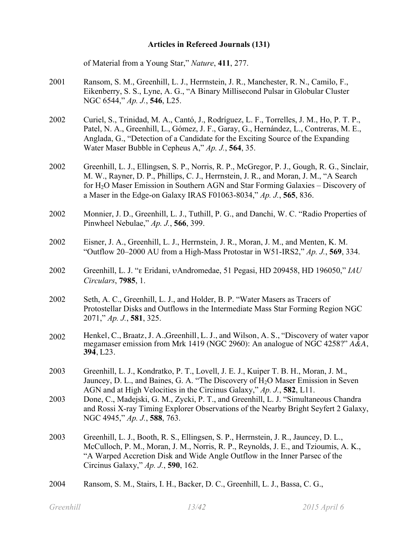of Material from a Young Star," *Nature*, **411**, 277.

- 2001 Ransom, S. M., Greenhill, L. J., Herrnstein, J. R., Manchester, R. N., Camilo, F., Eikenberry, S. S., Lyne, A. G., "A Binary Millisecond Pulsar in Globular Cluster NGC 6544," *Ap. J.*, **546**, L25.
- 2002 Curiel, S., Trinidad, M. A., Cantó, J., Rodríguez, L. F., Torrelles, J. M., Ho, P. T. P., Patel, N. A., Greenhill, L., Gómez, J. F., Garay, G., Hernández, L., Contreras, M. E., Anglada, G., "Detection of a Candidate for the Exciting Source of the Expanding Water Maser Bubble in Cepheus A," *Ap. J.*, **564**, 35.
- 2002 Greenhill, L. J., Ellingsen, S. P., Norris, R. P., McGregor, P. J., Gough, R. G., Sinclair, M. W., Rayner, D. P., Phillips, C. J., Herrnstein, J. R., and Moran, J. M., "A Search for H2O Maser Emission in Southern AGN and Star Forming Galaxies – Discovery of a Maser in the Edge-on Galaxy IRAS F01063-8034," *Ap. J.*, **565**, 836.
- 2002 Monnier, J. D., Greenhill, L. J., Tuthill, P. G., and Danchi, W. C. "Radio Properties of Pinwheel Nebulae," *Ap. J.*, **566**, 399.
- 2002 Eisner, J. A., Greenhill, L. J., Herrnstein, J. R., Moran, J. M., and Menten, K. M. "Outflow 20–2000 AU from a High-Mass Protostar in W51-IRS2," *Ap. J.*, **569**, 334.
- 2002 Greenhill, L. J. "ε Eridani, υAndromedae, 51 Pegasi, HD 209458, HD 196050," *IAU Circulars*, **7985**, 1.
- 2002 Seth, A. C., Greenhill, L. J., and Holder, B. P. "Water Masers as Tracers of Protostellar Disks and Outflows in the Intermediate Mass Star Forming Region NGC 2071," *Ap. J.*, **581**, 325.
- 2002 Henkel, C., Braatz, J. A.,Greenhill, L. J., and Wilson, A. S., "Discovery of water vapor megamaser emission from Mrk 1419 (NGC 2960): An analogue of NGC 4258?" *A&A*, **394**, L23.
- 2003 Greenhill, L. J., Kondratko, P. T., Lovell, J. E. J., Kuiper T. B. H., Moran, J. M., Jauncey, D. L., and Baines, G. A. "The Discovery of H<sub>2</sub>O Maser Emission in Seven AGN and at High Velocities in the Circinus Galaxy," *Ap. J.*, **582**, L11.
- 2003 Done, C., Madejski, G. M., Zycki, P. T., and Greenhill, L. J. "Simultaneous Chandra and Rossi X-ray Timing Explorer Observations of the Nearby Bright Seyfert 2 Galaxy, NGC 4945," *Ap. J.*, **588**, 763.
- 2003 Greenhill, L. J., Booth, R. S., Ellingsen, S. P., Herrnstein, J. R., Jauncey, D. L., McCulloch, P. M., Moran, J. M., Norris, R. P., Reynolds, J. E., and Tzioumis, A. K., "A Warped Accretion Disk and Wide Angle Outflow in the Inner Parsec of the Circinus Galaxy," *Ap. J.*, **590**, 162.
- 2004 Ransom, S. M., Stairs, I. H., Backer, D. C., Greenhill, L. J., Bassa, C. G.,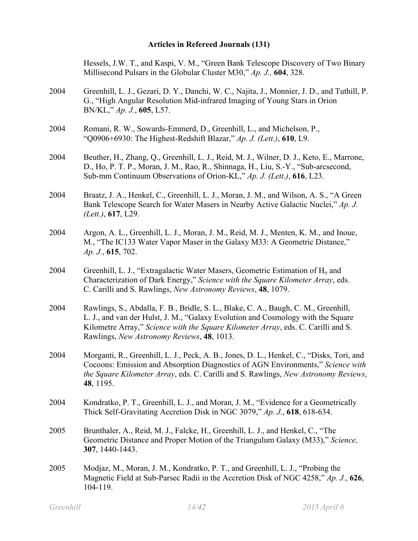Hessels, J.W. T., and Kaspi, V. M., "Green Bank Telescope Discovery of Two Binary Millisecond Pulsars in the Globular Cluster M30," *Ap. J.,* **604**, 328.

- 2004 Greenhill, L. J., Gezari, D. Y., Danchi, W. C., Najita, J., Monnier, J. D., and Tuthill, P. G., "High Angular Resolution Mid-infrared Imaging of Young Stars in Orion BN/KL," *Ap. J.*, **605**, L57.
- 2004 Romani, R. W., Sowards-Emmerd, D., Greenhill, L., and Michelson, P., "Q0906+6930: The Highest-Redshift Blazar," *Ap. J. (Lett.)*, **610**, L9.
- 2004 Beuther, H., Zhang, Q., Greenhill, L. J., Reid, M. J., Wilner, D. J., Keto, E., Marrone, D., Ho, P. T. P., Moran, J. M., Rao, R., Shinnaga, H., Liu, S.-Y., "Sub-arcsecond, Sub-mm Continuum Observations of Orion-KL," *Ap. J. (Lett.)*, **616**, L23.
- 2004 Braatz, J. A., Henkel, C., Greenhill, L. J., Moran, J. M., and Wilson, A. S., "A Green Bank Telescope Search for Water Masers in Nearby Active Galactic Nuclei," *Ap. J. (Lett.)*, **617**, L29.
- 2004 Argon, A. L., Greenhill, L. J., Moran, J. M., Reid, M. J., Menten, K. M., and Inoue, M., "The IC133 Water Vapor Maser in the Galaxy M33: A Geometric Distance," *Ap. J.*, **615**, 702.
- 2004 Greenhill, L. J., "Extragalactic Water Masers, Geometric Estimation of H<sub>o</sub> and Characterization of Dark Energy," *Science with the Square Kilometer Array*, eds. C. Carilli and S. Rawlings, *New Astronomy Reviews*, **48**, 1079.
- 2004 Rawlings, S., Abdalla, F. B., Bridle, S. L., Blake, C. A., Baugh, C. M., Greenhill, L. J., and van der Hulst, J. M., "Galaxy Evolution and Cosmology with the Square Kilometre Array," *Science with the Square Kilometer Array*, eds. C. Carilli and S. Rawlings, *New Astronomy Reviews*, **48**, 1013.
- 2004 Morganti, R., Greenhill, L. J., Peck, A. B., Jones, D. L., Henkel, C., "Disks, Tori, and Cocoons: Emission and Absorption Diagnostics of AGN Environments," *Science with the Square Kilometer Array*, eds. C. Carilli and S. Rawlings, *New Astronomy Reviews*, **48**, 1195.
- 2004 Kondratko, P. T., Greenhill, L. J., and Moran, J. M., "Evidence for a Geometrically Thick Self-Gravitating Accretion Disk in NGC 3079," *Ap. J.*, **618**, 618-634.
- 2005 Brunthaler, A., Reid, M. J., Falcke, H., Greenhill, L. J., and Henkel, C., "The Geometric Distance and Proper Motion of the Triangulum Galaxy (M33)," *Science,*  **307**, 1440-1443.
- 2005 Modjaz, M., Moran, J. M., Kondratko, P. T., and Greenhill, L. J., "Probing the Magnetic Field at Sub-Parsec Radii in the Accretion Disk of NGC 4258," *Ap. J.*, **626**, 104-119.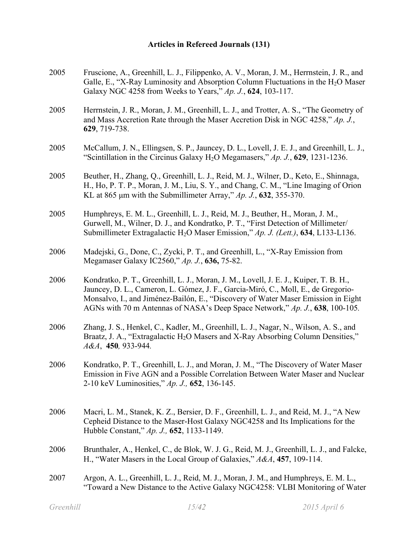- 2005 Fruscione, A., Greenhill, L. J., Filippenko, A. V., Moran, J. M., Herrnstein, J. R., and Galle, E., "X-Ray Luminosity and Absorption Column Fluctuations in the  $H_2O$  Maser Galaxy NGC 4258 from Weeks to Years," *Ap. J.*, **624**, 103-117.
- 2005 Herrnstein, J. R., Moran, J. M., Greenhill, L. J., and Trotter, A. S., "The Geometry of and Mass Accretion Rate through the Maser Accretion Disk in NGC 4258," *Ap. J.*, **629**, 719-738.
- 2005 McCallum, J. N., Ellingsen, S. P., Jauncey, D. L., Lovell, J. E. J., and Greenhill, L. J., "Scintillation in the Circinus Galaxy H2O Megamasers," *Ap. J.*, **629**, 1231-1236.
- 2005 Beuther, H., Zhang, Q., Greenhill, L. J., Reid, M. J., Wilner, D., Keto, E., Shinnaga, H., Ho, P. T. P., Moran, J. M., Liu, S. Y., and Chang, C. M., "Line Imaging of Orion KL at 865 µm with the Submillimeter Array," *Ap. J.*, **632**, 355-370.
- 2005 Humphreys, E. M. L., Greenhill, L. J., Reid, M. J., Beuther, H., Moran, J. M., Gurwell, M., Wilner, D. J., and Kondratko, P. T., "First Detection of Millimeter/ Submillimeter Extragalactic H2O Maser Emission," *Ap. J. (Lett.)*, **634**, L133-L136.
- 2006 Madejski, G., Done, C., Zycki, P. T., and Greenhill, L., "X-Ray Emission from Megamaser Galaxy IC2560," *Ap. J.*, **636,** 75-82.
- 2006 Kondratko, P. T., Greenhill, L. J., Moran, J. M., Lovell, J. E. J., Kuiper, T. B. H., Jauncey, D. L., Cameron, L. Gómez, J. F., Garcia-Miró, C., Moll, E., de Gregorio-Monsalvo, I., and Jiménez-Bailón, E., "Discovery of Water Maser Emission in Eight AGNs with 70 m Antennas of NASA's Deep Space Network," *Ap. J.*, **638**, 100-105*.*
- 2006 Zhang, J. S., Henkel, C., Kadler, M., Greenhill, L. J., Nagar, N., Wilson, A. S., and Braatz, J. A., "Extragalactic H<sub>2</sub>O Masers and X-Ray Absorbing Column Densities," *A&A*, **450***,* 933-944*.*
- 2006 Kondratko, P. T., Greenhill, L. J., and Moran, J. M., "The Discovery of Water Maser Emission in Five AGN and a Possible Correlation Between Water Maser and Nuclear 2-10 keV Luminosities," *Ap. J.,* **652**, 136-145.
- 2006 Macri, L. M., Stanek, K. Z., Bersier, D. F., Greenhill, L. J., and Reid, M. J., "A New Cepheid Distance to the Maser-Host Galaxy NGC4258 and Its Implications for the Hubble Constant," *Ap. J.,* **652**, 1133-1149.
- 2006 Brunthaler, A., Henkel, C., de Blok, W. J. G., Reid, M. J., Greenhill, L. J., and Falcke, H., "Water Masers in the Local Group of Galaxies," *A&A*, **457**, 109-114.
- 2007 Argon, A. L., Greenhill, L. J., Reid, M. J., Moran, J. M., and Humphreys, E. M. L., "Toward a New Distance to the Active Galaxy NGC4258: VLBI Monitoring of Water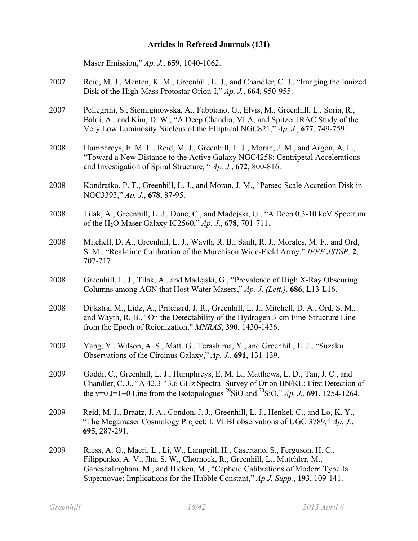Maser Emission," *Ap. J.*, **659**, 1040-1062.

- 2007 Reid, M. J., Menten, K. M., Greenhill, L. J., and Chandler, C. J., "Imaging the Ionized Disk of the High-Mass Protostar Orion-I," *Ap. J.*, **664**, 950-955.
- 2007 Pellegrini, S., Siemiginowska, A., Fabbiano, G., Elvis, M., Greenhill, L., Soria, R., Baldi, A., and Kim, D. W., "A Deep Chandra, VLA, and Spitzer IRAC Study of the Very Low Luminosity Nucleus of the Elliptical NGC821," *Ap. J.*, **677**, 749-759.
- 2008 Humphreys, E. M. L., Reid, M. J., Greenhill, L. J., Moran, J. M., and Argon, A. L., "Toward a New Distance to the Active Galaxy NGC4258: Centripetal Accelerations and Investigation of Spiral Structure, " *Ap. J.*, **672**, 800-816.
- 2008 Kondratko, P. T., Greenhill, L. J., and Moran, J. M., "Parsec-Scale Accretion Disk in NGC3393," *Ap. J.*, **678**, 87-95.
- 2008 Tilak, A., Greenhill, L. J., Done, C., and Madejski, G., "A Deep 0.3-10 keV Spectrum of the H2O Maser Galaxy IC2560," *Ap. J*., **678**, 701-711.
- 2008 Mitchell, D. A., Greenhill, L. J., Wayth, R. B., Sault, R. J., Morales, M. F., and Ord, S. M., "Real-time Calibration of the Murchison Wide-Field Array," *IEEE JSTSP,* **2**, 707-717.
- 2008 Greenhill, L. J., Tilak, A., and Madejski, G., "Prevalence of High X-Ray Obscuring Columns among AGN that Host Water Masers," *Ap. J*. *(Lett.)*, **686**, L13-L16.
- 2008 Dijkstra, M., Lidz, A., Pritchard, J. R., Greenhill, L. J., Mitchell, D. A., Ord, S. M., and Wayth, R. B., "On the Detectability of the Hydrogen 3-cm Fine-Structure Line from the Epoch of Reionization," *MNRAS*, **390**, 1430-1436.
- 2009 Yang, Y., Wilson, A. S., Matt, G., Terashima, Y., and Greenhill, L. J., "Suzaku Observations of the Circinus Galaxy," *Ap. J.*, **691**, 131-139.
- 2009 Goddi, C., Greenhill, L. J., Humphreys, E. M. L., Matthews, L. D., Tan, J. C., and Chandler, C. J., "A 42.3-43.6 GHz Spectral Survey of Orion BN/KL: First Detection of the v=0 J=1–0 Line from the Isotopologues <sup>29</sup>SiO and <sup>30</sup>SiO," *Ap. J.*, **691**, 1254-1264.
- 2009 Reid, M. J., Braatz, J. A., Condon, J. J., Greenhill, L. J., Henkel, C., and Lo, K. Y., "The Megamaser Cosmology Project: I. VLBI observations of UGC 3789," *Ap. J.*, **695**, 287-291.
- 2009 Riess, A. G., Macri, L., Li, W., Lampeitl, H., Casertano, S., Ferguson, H. C., Filippenko, A. V., Jha, S. W., Chornock, R., Greenhill, L., Mutchler, M., Ganeshalingham, M., and Hicken, M., "Cepheid Calibrations of Modern Type Ia Supernovae: Implications for the Hubble Constant," *Ap.J. Supp.*, **193**, 109-141.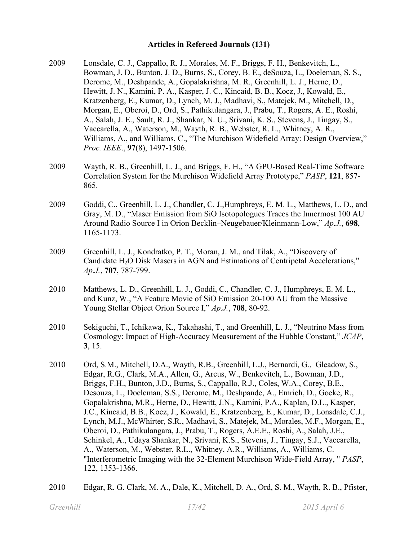- 2009 Lonsdale, C. J., Cappallo, R. J., Morales, M. F., Briggs, F. H., Benkevitch, L., Bowman, J. D., Bunton, J. D., Burns, S., Corey, B. E., deSouza, L., Doeleman, S. S., Derome, M., Deshpande, A., Gopalakrishna, M. R., Greenhill, L. J., Herne, D., Hewitt, J. N., Kamini, P. A., Kasper, J. C., Kincaid, B. B., Kocz, J., Kowald, E., Kratzenberg, E., Kumar, D., Lynch, M. J., Madhavi, S., Matejek, M., Mitchell, D., Morgan, E., Oberoi, D., Ord, S., Pathikulangara, J., Prabu, T., Rogers, A. E., Roshi, A., Salah, J. E., Sault, R. J., Shankar, N. U., Srivani, K. S., Stevens, J., Tingay, S., Vaccarella, A., Waterson, M., Wayth, R. B., Webster, R. L., Whitney, A. R., Williams, A., and Williams, C., "The Murchison Widefield Array: Design Overview," *Proc. IEEE*., **97**(8), 1497-1506.
- 2009 Wayth, R. B., Greenhill, L. J., and Briggs, F. H., "A GPU-Based Real-Time Software Correlation System for the Murchison Widefield Array Prototype," *PASP*, **121**, 857- 865.
- 2009 Goddi, C., Greenhill, L. J., Chandler, C. J.,Humphreys, E. M. L., Matthews, L. D., and Gray, M. D., "Maser Emission from SiO Isotopologues Traces the Innermost 100 AU Around Radio Source I in Orion Becklin–Neugebauer/Kleinmann-Low," *Ap.J.*, **698**, 1165-1173.
- 2009 Greenhill, L. J., Kondratko, P. T., Moran, J. M., and Tilak, A., "Discovery of Candidate H<sub>2</sub>O Disk Masers in AGN and Estimations of Centripetal Accelerations," *Ap.J.*, **707**, 787-799.
- 2010 Matthews, L. D., Greenhill, L. J., Goddi, C., Chandler, C. J., Humphreys, E. M. L., and Kunz, W., "A Feature Movie of SiO Emission 20-100 AU from the Massive Young Stellar Object Orion Source I," *Ap.J.*, **708**, 80-92.
- 2010 Sekiguchi, T., Ichikawa, K., Takahashi, T., and Greenhill, L. J., "Neutrino Mass from Cosmology: Impact of High-Accuracy Measurement of the Hubble Constant," *JCAP*, **3**, 15.
- 2010 Ord, S.M., Mitchell, D.A., Wayth, R.B., Greenhill, L.J., Bernardi, G., Gleadow, S., Edgar, R.G., Clark, M.A., Allen, G., Arcus, W., Benkevitch, L., Bowman, J.D., Briggs, F.H., Bunton, J.D., Burns, S., Cappallo, R.J., Coles, W.A., Corey, B.E., Desouza, L., Doeleman, S.S., Derome, M., Deshpande, A., Emrich, D., Goeke, R., Gopalakrishna, M.R., Herne, D., Hewitt, J.N., Kamini, P.A., Kaplan, D.L., Kasper, J.C., Kincaid, B.B., Kocz, J., Kowald, E., Kratzenberg, E., Kumar, D., Lonsdale, C.J., Lynch, M.J., McWhirter, S.R., Madhavi, S., Matejek, M., Morales, M.F., Morgan, E., Oberoi, D., Pathikulangara, J., Prabu, T., Rogers, A.E.E., Roshi, A., Salah, J.E., Schinkel, A., Udaya Shankar, N., Srivani, K.S., Stevens, J., Tingay, S.J., Vaccarella, A., Waterson, M., Webster, R.L., Whitney, A.R., Williams, A., Williams, C. "Interferometric Imaging with the 32-Element Murchison Wide-Field Array, " *PASP*, 122, 1353-1366.
- 2010 Edgar, R. G. Clark, M. A., Dale, K., Mitchell, D. A., Ord, S. M., Wayth, R. B., Pfister,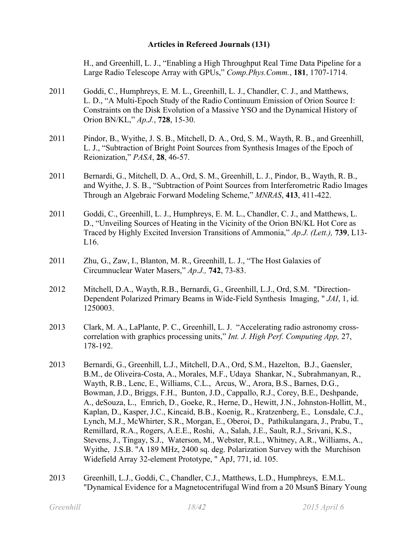H., and Greenhill, L. J., "Enabling a High Throughput Real Time Data Pipeline for a Large Radio Telescope Array with GPUs," *Comp.Phys.Comm.*, **181**, 1707-1714.

- 2011 Goddi, C., Humphreys, E. M. L., Greenhill, L. J., Chandler, C. J., and Matthews, L. D., "A Multi-Epoch Study of the Radio Continuum Emission of Orion Source I: Constraints on the Disk Evolution of a Massive YSO and the Dynamical History of Orion BN/KL," *Ap.J.*, **728**, 15-30.
- 2011 Pindor, B., Wyithe, J. S. B., Mitchell, D. A., Ord, S. M., Wayth, R. B., and Greenhill, L. J., "Subtraction of Bright Point Sources from Synthesis Images of the Epoch of Reionization," *PASA*, **28**, 46-57.
- 2011 Bernardi, G., Mitchell, D. A., Ord, S. M., Greenhill, L. J., Pindor, B., Wayth, R. B., and Wyithe, J. S. B., "Subtraction of Point Sources from Interferometric Radio Images Through an Algebraic Forward Modeling Scheme," *MNRAS*, **413**, 411-422.
- 2011 Goddi, C., Greenhill, L. J., Humphreys, E. M. L., Chandler, C. J., and Matthews, L. D., "Unveiling Sources of Heating in the Vicinity of the Orion BN/KL Hot Core as Traced by Highly Excited Inversion Transitions of Ammonia," *Ap.J. (Lett.),* **739**, L13- L16.
- 2011 Zhu, G., Zaw, I., Blanton, M. R., Greenhill, L. J., "The Host Galaxies of Circumnuclear Water Masers," *Ap.J.,* **742**, 73-83.
- 2012 Mitchell, D.A., Wayth, R.B., Bernardi, G., Greenhill, L.J., Ord, S.M. "Direction-Dependent Polarized Primary Beams in Wide-Field Synthesis Imaging, " *JAI*, 1, id. 1250003.
- 2013 Clark, M. A., LaPlante, P. C., Greenhill, L. J. "Accelerating radio astronomy crosscorrelation with graphics processing units," *Int. J. High Perf. Computing App,* 27, 178-192.
- 2013 Bernardi, G., Greenhill, L.J., Mitchell, D.A., Ord, S.M., Hazelton, B.J., Gaensler, B.M., de Oliveira-Costa, A., Morales, M.F., Udaya Shankar, N., Subrahmanyan, R., Wayth, R.B., Lenc, E., Williams, C.L., Arcus, W., Arora, B.S., Barnes, D.G., Bowman, J.D., Briggs, F.H., Bunton, J.D., Cappallo, R.J., Corey, B.E., Deshpande, A., deSouza, L., Emrich, D., Goeke, R., Herne, D., Hewitt, J.N., Johnston-Hollitt, M., Kaplan, D., Kasper, J.C., Kincaid, B.B., Koenig, R., Kratzenberg, E., Lonsdale, C.J., Lynch, M.J., McWhirter, S.R., Morgan, E., Oberoi, D., Pathikulangara, J., Prabu, T., Remillard, R.A., Rogers, A.E.E., Roshi, A., Salah, J.E., Sault, R.J., Srivani, K.S., Stevens, J., Tingay, S.J., Waterson, M., Webster, R.L., Whitney, A.R., Williams, A., Wyithe, J.S.B. "A 189 MHz, 2400 sq. deg. Polarization Survey with the Murchison Widefield Array 32-element Prototype, " ApJ, 771, id. 105.
- 2013 Greenhill, L.J., Goddi, C., Chandler, C.J., Matthews, L.D., Humphreys, E.M.L. "Dynamical Evidence for a Magnetocentrifugal Wind from a 20 Msun\$ Binary Young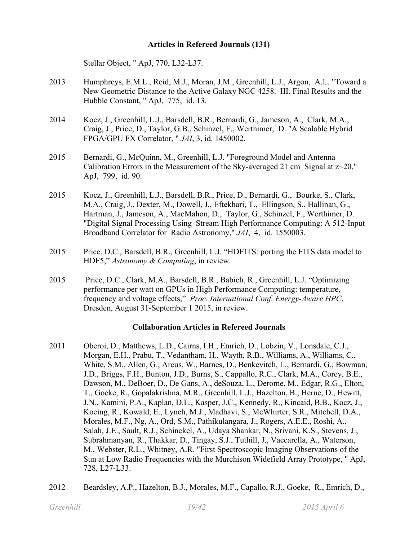Stellar Object, " ApJ, 770, L32-L37.

- 2013 Humphreys, E.M.L., Reid, M.J., Moran, J.M., Greenhill, L.J., Argon, A.L. "Toward a New Geometric Distance to the Active Galaxy NGC 4258. III. Final Results and the Hubble Constant, " ApJ, 775, id. 13.
- 2014 Kocz, J., Greenhill, L.J., Barsdell, B.R., Bernardi, G., Jameson, A., Clark, M.A., Craig, J., Price, D., Taylor, G.B., Schinzel, F., Werthimer, D. "A Scalable Hybrid FPGA/GPU FX Correlator, " *JAI*, 3, id. 1450002.
- 2015 Bernardi, G., McQuinn, M., Greenhill, L.J. "Foreground Model and Antenna Calibration Errors in the Measurement of the Sky-averaged 21 cm Signal at  $z \sim 20$ ," ApJ, 799, id. 90.
- 2015 Kocz, J., Greenhill, L.J., Barsdell, B.R., Price, D., Bernardi, G., Bourke, S., Clark, M.A., Craig, J., Dexter, M., Dowell, J., Eftekhari, T., Ellingson, S., Hallinan, G., Hartman, J., Jameson, A., MacMahon, D., Taylor, G., Schinzel, F., Werthimer, D. "Digital Signal Processing Using Stream High Performance Computing: A 512-Input Broadband Correlator for Radio Astronomy," *JAI*, 4, id. 1550003.
- 2015 Price, D.C., Barsdell, B.R., Greenhill, L.J. "HDFITS: porting the FITS data model to HDF5," *Astronomy & Computing*, in review.
- 2015 Price, D.C., Clark, M.A., Barsdell, B.R., Babich, R., Greenhill, L.J. "Optimizing performance per watt on GPUs in High Performance Computing: temperature, frequency and voltage effects," *Proc. International Conf. Energy-Aware HPC*, Dresden, August 31-September 1 2015, in review.

## **Collaboration Articles in Refereed Journals**

- 2011 Oberoi, D., Matthews, L.D., Cairns, I.H., Emrich, D., Lobzin, V., Lonsdale, C.J., Morgan, E.H., Prabu, T., Vedantham, H., Wayth, R.B., Williams, A., Williams, C., White, S.M., Allen, G., Arcus, W., Barnes, D., Benkevitch, L., Bernardi, G., Bowman, J.D., Briggs, F.H., Bunton, J.D., Burns, S., Cappallo, R.C., Clark, M.A., Corey, B.E., Dawson, M., DeBoer, D., De Gans, A., deSouza, L., Derome, M., Edgar, R.G., Elton, T., Goeke, R., Gopalakrishna, M.R., Greenhill, L.J., Hazelton, B., Herne, D., Hewitt, J.N., Kamini, P.A., Kaplan, D.L., Kasper, J.C., Kennedy, R., Kincaid, B.B., Kocz, J., Koeing, R., Kowald, E., Lynch, M.J., Madhavi, S., McWhirter, S.R., Mitchell, D.A., Morales, M.F., Ng, A., Ord, S.M., Pathikulangara, J., Rogers, A.E.E., Roshi, A., Salah, J.E., Sault, R.J., Schinckel, A., Udaya Shankar, N., Srivani, K.S., Stevens, J., Subrahmanyan, R., Thakkar, D., Tingay, S.J., Tuthill, J., Vaccarella, A., Waterson, M., Webster, R.L., Whitney, A.R. "First Spectroscopic Imaging Observations of the Sun at Low Radio Frequencies with the Murchison Widefield Array Prototype, " ApJ, 728, L27-L33.
- 2012 Beardsley, A.P., Hazelton, B.J., Morales, M.F., Capallo, R.J., Goeke, R., Emrich, D.,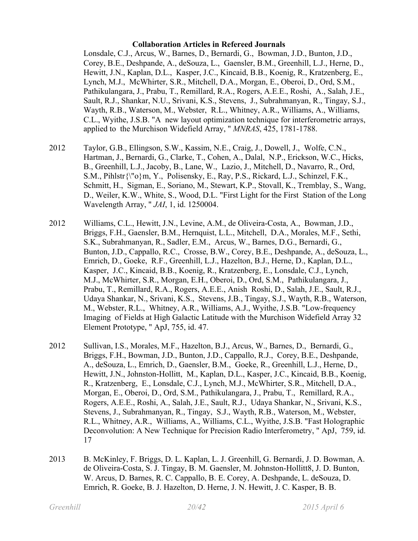Lonsdale, C.J., Arcus, W., Barnes, D., Bernardi, G., Bowman, J.D., Bunton, J.D., Corey, B.E., Deshpande, A., deSouza, L., Gaensler, B.M., Greenhill, L.J., Herne, D., Hewitt, J.N., Kaplan, D.L., Kasper, J.C., Kincaid, B.B., Koenig, R., Kratzenberg, E., Lynch, M.J., McWhirter, S.R., Mitchell, D.A., Morgan, E., Oberoi, D., Ord, S.M., Pathikulangara, J., Prabu, T., Remillard, R.A., Rogers, A.E.E., Roshi, A., Salah, J.E., Sault, R.J., Shankar, N.U., Srivani, K.S., Stevens, J., Subrahmanyan, R., Tingay, S.J., Wayth, R.B., Waterson, M., Webster, R.L., Whitney, A.R., Williams, A., Williams, C.L., Wyithe, J.S.B. "A new layout optimization technique for interferometric arrays, applied to the Murchison Widefield Array, " *MNRAS*, 425, 1781-1788.

- 2012 Taylor, G.B., Ellingson, S.W., Kassim, N.E., Craig, J., Dowell, J., Wolfe, C.N., Hartman, J., Bernardi, G., Clarke, T., Cohen, A., Dalal, N.P., Erickson, W.C., Hicks, B., Greenhill, L.J., Jacoby, B., Lane, W., Lazio, J., Mitchell, D., Navarro, R., Ord, S.M., Pihlstr{\"o}m, Y., Polisensky, E., Ray, P.S., Rickard, L.J., Schinzel, F.K., Schmitt, H., Sigman, E., Soriano, M., Stewart, K.P., Stovall, K., Tremblay, S., Wang, D., Weiler, K.W., White, S., Wood, D.L. "First Light for the First Station of the Long Wavelength Array, " *JAI*, 1, id. 1250004.
- 2012 Williams, C.L., Hewitt, J.N., Levine, A.M., de Oliveira-Costa, A., Bowman, J.D., Briggs, F.H., Gaensler, B.M., Hernquist, L.L., Mitchell, D.A., Morales, M.F., Sethi, S.K., Subrahmanyan, R., Sadler, E.M., Arcus, W., Barnes, D.G., Bernardi, G., Bunton, J.D., Cappallo, R.C., Crosse, B.W., Corey, B.E., Deshpande, A., deSouza, L., Emrich, D., Goeke, R.F., Greenhill, L.J., Hazelton, B.J., Herne, D., Kaplan, D.L., Kasper, J.C., Kincaid, B.B., Koenig, R., Kratzenberg, E., Lonsdale, C.J., Lynch, M.J., McWhirter, S.R., Morgan, E.H., Oberoi, D., Ord, S.M., Pathikulangara, J., Prabu, T., Remillard, R.A., Rogers, A.E.E., Anish Roshi, D., Salah, J.E., Sault, R.J., Udaya Shankar, N., Srivani, K.S., Stevens, J.B., Tingay, S.J., Wayth, R.B., Waterson, M., Webster, R.L., Whitney, A.R., Williams, A.J., Wyithe, J.S.B. "Low-frequency Imaging of Fields at High Galactic Latitude with the Murchison Widefield Array 32 Element Prototype, " ApJ, 755, id. 47.
- 2012 Sullivan, I.S., Morales, M.F., Hazelton, B.J., Arcus, W., Barnes, D., Bernardi, G., Briggs, F.H., Bowman, J.D., Bunton, J.D., Cappallo, R.J., Corey, B.E., Deshpande, A., deSouza, L., Emrich, D., Gaensler, B.M., Goeke, R., Greenhill, L.J., Herne, D., Hewitt, J.N., Johnston-Hollitt, M., Kaplan, D.L., Kasper, J.C., Kincaid, B.B., Koenig, R., Kratzenberg, E., Lonsdale, C.J., Lynch, M.J., McWhirter, S.R., Mitchell, D.A., Morgan, E., Oberoi, D., Ord, S.M., Pathikulangara, J., Prabu, T., Remillard, R.A., Rogers, A.E.E., Roshi, A., Salah, J.E., Sault, R.J., Udaya Shankar, N., Srivani, K.S., Stevens, J., Subrahmanyan, R., Tingay, S.J., Wayth, R.B., Waterson, M., Webster, R.L., Whitney, A.R., Williams, A., Williams, C.L., Wyithe, J.S.B. "Fast Holographic Deconvolution: A New Technique for Precision Radio Interferometry, " ApJ, 759, id. 17
- 2013 B. McKinley, F. Briggs, D. L. Kaplan, L. J. Greenhill, G. Bernardi, J. D. Bowman, A. de Oliveira-Costa, S. J. Tingay, B. M. Gaensler, M. Johnston-Hollitt8, J. D. Bunton, W. Arcus, D. Barnes, R. C. Cappallo, B. E. Corey, A. Deshpande, L. deSouza, D. Emrich, R. Goeke, B. J. Hazelton, D. Herne, J. N. Hewitt, J. C. Kasper, B. B.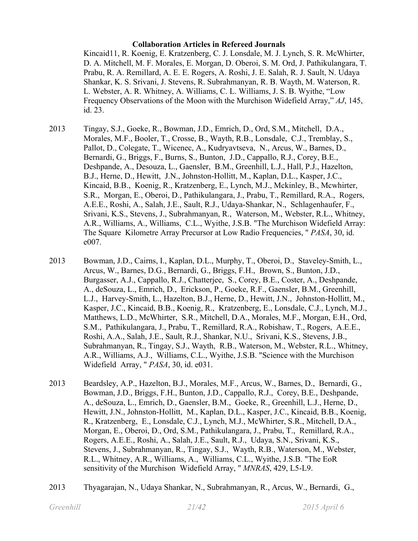Kincaid11, R. Koenig, E. Kratzenberg, C. J. Lonsdale, M. J. Lynch, S. R. McWhirter, D. A. Mitchell, M. F. Morales, E. Morgan, D. Oberoi, S. M. Ord, J. Pathikulangara, T. Prabu, R. A. Remillard, A. E. E. Rogers, A. Roshi, J. E. Salah, R. J. Sault, N. Udaya Shankar, K. S. Srivani, J. Stevens, R. Subrahmanyan, R. B. Wayth, M. Waterson, R. L. Webster, A. R. Whitney, A. Williams, C. L. Williams, J. S. B. Wyithe, "Low Frequency Observations of the Moon with the Murchison Widefield Array," *AJ*, 145, id. 23.

- 2013 Tingay, S.J., Goeke, R., Bowman, J.D., Emrich, D., Ord, S.M., Mitchell, D.A., Morales, M.F., Booler, T., Crosse, B., Wayth, R.B., Lonsdale, C.J., Tremblay, S., Pallot, D., Colegate, T., Wicenec, A., Kudryavtseva, N., Arcus, W., Barnes, D., Bernardi, G., Briggs, F., Burns, S., Bunton, J.D., Cappallo, R.J., Corey, B.E., Deshpande, A., Desouza, L., Gaensler, B.M., Greenhill, L.J., Hall, P.J., Hazelton, B.J., Herne, D., Hewitt, J.N., Johnston-Hollitt, M., Kaplan, D.L., Kasper, J.C., Kincaid, B.B., Koenig, R., Kratzenberg, E., Lynch, M.J., Mckinley, B., Mcwhirter, S.R., Morgan, E., Oberoi, D., Pathikulangara, J., Prabu, T., Remillard, R.A., Rogers, A.E.E., Roshi, A., Salah, J.E., Sault, R.J., Udaya-Shankar, N., Schlagenhaufer, F., Srivani, K.S., Stevens, J., Subrahmanyan, R., Waterson, M., Webster, R.L., Whitney, A.R., Williams, A., Williams, C.L., Wyithe, J.S.B. "The Murchison Widefield Array: The Square Kilometre Array Precursor at Low Radio Frequencies, " *PASA*, 30, id. e007.
- 2013 Bowman, J.D., Cairns, I., Kaplan, D.L., Murphy, T., Oberoi, D., Staveley-Smith, L., Arcus, W., Barnes, D.G., Bernardi, G., Briggs, F.H., Brown, S., Bunton, J.D., Burgasser, A.J., Cappallo, R.J., Chatterjee, S., Corey, B.E., Coster, A., Deshpande, A., deSouza, L., Emrich, D., Erickson, P., Goeke, R.F., Gaensler, B.M., Greenhill, L.J., Harvey-Smith, L., Hazelton, B.J., Herne, D., Hewitt, J.N., Johnston-Hollitt, M., Kasper, J.C., Kincaid, B.B., Koenig, R., Kratzenberg, E., Lonsdale, C.J., Lynch, M.J., Matthews, L.D., McWhirter, S.R., Mitchell, D.A., Morales, M.F., Morgan, E.H., Ord, S.M., Pathikulangara, J., Prabu, T., Remillard, R.A., Robishaw, T., Rogers, A.E.E., Roshi, A.A., Salah, J.E., Sault, R.J., Shankar, N.U., Srivani, K.S., Stevens, J.B., Subrahmanyan, R., Tingay, S.J., Wayth, R.B., Waterson, M., Webster, R.L., Whitney, A.R., Williams, A.J., Williams, C.L., Wyithe, J.S.B. "Science with the Murchison Widefield Array, " *PASA*, 30, id. e031.
- 2013 Beardsley, A.P., Hazelton, B.J., Morales, M.F., Arcus, W., Barnes, D., Bernardi, G., Bowman, J.D., Briggs, F.H., Bunton, J.D., Cappallo, R.J., Corey, B.E., Deshpande, A., deSouza, L., Emrich, D., Gaensler, B.M., Goeke, R., Greenhill, L.J., Herne, D., Hewitt, J.N., Johnston-Hollitt, M., Kaplan, D.L., Kasper, J.C., Kincaid, B.B., Koenig, R., Kratzenberg, E., Lonsdale, C.J., Lynch, M.J., McWhirter, S.R., Mitchell, D.A., Morgan, E., Oberoi, D., Ord, S.M., Pathikulangara, J., Prabu, T., Remillard, R.A., Rogers, A.E.E., Roshi, A., Salah, J.E., Sault, R.J., Udaya, S.N., Srivani, K.S., Stevens, J., Subrahmanyan, R., Tingay, S.J., Wayth, R.B., Waterson, M., Webster, R.L., Whitney, A.R., Williams, A., Williams, C.L., Wyithe, J.S.B. "The EoR sensitivity of the Murchison Widefield Array, " *MNRAS*, 429, L5-L9.
- 2013 Thyagarajan, N., Udaya Shankar, N., Subrahmanyan, R., Arcus, W., Bernardi, G.,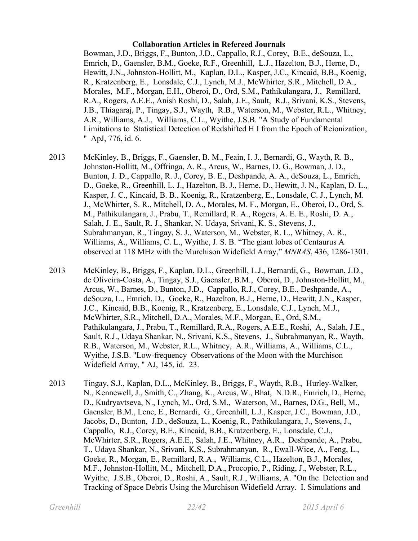Bowman, J.D., Briggs, F., Bunton, J.D., Cappallo, R.J., Corey, B.E., deSouza, L., Emrich, D., Gaensler, B.M., Goeke, R.F., Greenhill, L.J., Hazelton, B.J., Herne, D., Hewitt, J.N., Johnston-Hollitt, M., Kaplan, D.L., Kasper, J.C., Kincaid, B.B., Koenig, R., Kratzenberg, E., Lonsdale, C.J., Lynch, M.J., McWhirter, S.R., Mitchell, D.A., Morales, M.F., Morgan, E.H., Oberoi, D., Ord, S.M., Pathikulangara, J., Remillard, R.A., Rogers, A.E.E., Anish Roshi, D., Salah, J.E., Sault, R.J., Srivani, K.S., Stevens, J.B., Thiagaraj, P., Tingay, S.J., Wayth, R.B., Waterson, M., Webster, R.L., Whitney, A.R., Williams, A.J., Williams, C.L., Wyithe, J.S.B. "A Study of Fundamental Limitations to Statistical Detection of Redshifted H I from the Epoch of Reionization, " ApJ, 776, id. 6.

- 2013 McKinley, B., Briggs, F., Gaensler, B. M., Feain, I. J., Bernardi, G., Wayth, R. B., Johnston-Hollitt, M., Offringa, A. R., Arcus, W., Barnes, D. G., Bowman, J. D., Bunton, J. D., Cappallo, R. J., Corey, B. E., Deshpande, A. A., deSouza, L., Emrich, D., Goeke, R., Greenhill, L. J., Hazelton, B. J., Herne, D., Hewitt, J. N., Kaplan, D. L., Kasper, J. C., Kincaid, B. B., Koenig, R., Kratzenberg, E., Lonsdale, C. J., Lynch, M. J., McWhirter, S. R., Mitchell, D. A., Morales, M. F., Morgan, E., Oberoi, D., Ord, S. M., Pathikulangara, J., Prabu, T., Remillard, R. A., Rogers, A. E. E., Roshi, D. A., Salah, J. E., Sault, R. J., Shankar, N. Udaya, Srivani, K. S., Stevens, J., Subrahmanyan, R., Tingay, S. J., Waterson, M., Webster, R. L., Whitney, A. R., Williams, A., Williams, C. L., Wyithe, J. S. B. "The giant lobes of Centaurus A observed at 118 MHz with the Murchison Widefield Array," *MNRAS*, 436, 1286-1301.
- 2013 McKinley, B., Briggs, F., Kaplan, D.L., Greenhill, L.J., Bernardi, G., Bowman, J.D., de Oliveira-Costa, A., Tingay, S.J., Gaensler, B.M., Oberoi, D., Johnston-Hollitt, M., Arcus, W., Barnes, D., Bunton, J.D., Cappallo, R.J., Corey, B.E., Deshpande, A., deSouza, L., Emrich, D., Goeke, R., Hazelton, B.J., Herne, D., Hewitt, J.N., Kasper, J.C., Kincaid, B.B., Koenig, R., Kratzenberg, E., Lonsdale, C.J., Lynch, M.J., McWhirter, S.R., Mitchell, D.A., Morales, M.F., Morgan, E., Ord, S.M., Pathikulangara, J., Prabu, T., Remillard, R.A., Rogers, A.E.E., Roshi, A., Salah, J.E., Sault, R.J., Udaya Shankar, N., Srivani, K.S., Stevens, J., Subrahmanyan, R., Wayth, R.B., Waterson, M., Webster, R.L., Whitney, A.R., Williams, A., Williams, C.L., Wyithe, J.S.B. "Low-frequency Observations of the Moon with the Murchison Widefield Array, " AJ, 145, id. 23.
- 2013 Tingay, S.J., Kaplan, D.L., McKinley, B., Briggs, F., Wayth, R.B., Hurley-Walker, N., Kennewell, J., Smith, C., Zhang, K., Arcus, W., Bhat, N.D.R., Emrich, D., Herne, D., Kudryavtseva, N., Lynch, M., Ord, S.M., Waterson, M., Barnes, D.G., Bell, M., Gaensler, B.M., Lenc, E., Bernardi, G., Greenhill, L.J., Kasper, J.C., Bowman, J.D., Jacobs, D., Bunton, J.D., deSouza, L., Koenig, R., Pathikulangara, J., Stevens, J., Cappallo, R.J., Corey, B.E., Kincaid, B.B., Kratzenberg, E., Lonsdale, C.J., McWhirter, S.R., Rogers, A.E.E., Salah, J.E., Whitney, A.R., Deshpande, A., Prabu, T., Udaya Shankar, N., Srivani, K.S., Subrahmanyan, R., Ewall-Wice, A., Feng, L., Goeke, R., Morgan, E., Remillard, R.A., Williams, C.L., Hazelton, B.J., Morales, M.F., Johnston-Hollitt, M., Mitchell, D.A., Procopio, P., Riding, J., Webster, R.L., Wyithe, J.S.B., Oberoi, D., Roshi, A., Sault, R.J., Williams, A. "On the Detection and Tracking of Space Debris Using the Murchison Widefield Array. I. Simulations and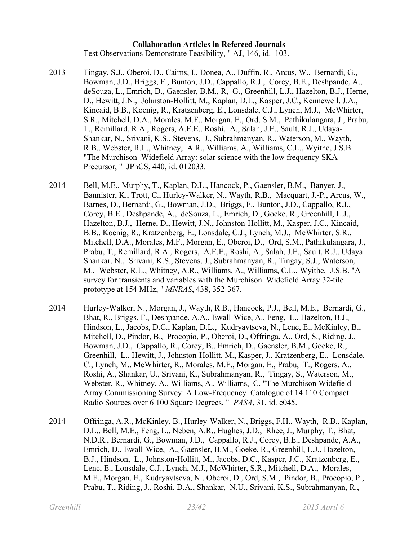Test Observations Demonstrate Feasibility, " AJ, 146, id. 103.

- 2013 Tingay, S.J., Oberoi, D., Cairns, I., Donea, A., Duffin, R., Arcus, W., Bernardi, G., Bowman, J.D., Briggs, F., Bunton, J.D., Cappallo, R.J., Corey, B.E., Deshpande, A., deSouza, L., Emrich, D., Gaensler, B.M., R, G., Greenhill, L.J., Hazelton, B.J., Herne, D., Hewitt, J.N., Johnston-Hollitt, M., Kaplan, D.L., Kasper, J.C., Kennewell, J.A., Kincaid, B.B., Koenig, R., Kratzenberg, E., Lonsdale, C.J., Lynch, M.J., McWhirter, S.R., Mitchell, D.A., Morales, M.F., Morgan, E., Ord, S.M., Pathikulangara, J., Prabu, T., Remillard, R.A., Rogers, A.E.E., Roshi, A., Salah, J.E., Sault, R.J., Udaya-Shankar, N., Srivani, K.S., Stevens, J., Subrahmanyan, R., Waterson, M., Wayth, R.B., Webster, R.L., Whitney, A.R., Williams, A., Williams, C.L., Wyithe, J.S.B. "The Murchison Widefield Array: solar science with the low frequency SKA Precursor, " JPhCS, 440, id. 012033.
- 2014 Bell, M.E., Murphy, T., Kaplan, D.L., Hancock, P., Gaensler, B.M., Banyer, J., Bannister, K., Trott, C., Hurley-Walker, N., Wayth, R.B., Macquart, J.-P., Arcus, W., Barnes, D., Bernardi, G., Bowman, J.D., Briggs, F., Bunton, J.D., Cappallo, R.J., Corey, B.E., Deshpande, A., deSouza, L., Emrich, D., Goeke, R., Greenhill, L.J., Hazelton, B.J., Herne, D., Hewitt, J.N., Johnston-Hollitt, M., Kasper, J.C., Kincaid, B.B., Koenig, R., Kratzenberg, E., Lonsdale, C.J., Lynch, M.J., McWhirter, S.R., Mitchell, D.A., Morales, M.F., Morgan, E., Oberoi, D., Ord, S.M., Pathikulangara, J., Prabu, T., Remillard, R.A., Rogers, A.E.E., Roshi, A., Salah, J.E., Sault, R.J., Udaya Shankar, N., Srivani, K.S., Stevens, J., Subrahmanyan, R., Tingay, S.J., Waterson, M., Webster, R.L., Whitney, A.R., Williams, A., Williams, C.L., Wyithe, J.S.B. "A survey for transients and variables with the Murchison Widefield Array 32-tile prototype at 154 MHz, " *MNRAS*, 438, 352-367.
- 2014 Hurley-Walker, N., Morgan, J., Wayth, R.B., Hancock, P.J., Bell, M.E., Bernardi, G., Bhat, R., Briggs, F., Deshpande, A.A., Ewall-Wice, A., Feng, L., Hazelton, B.J., Hindson, L., Jacobs, D.C., Kaplan, D.L., Kudryavtseva, N., Lenc, E., McKinley, B., Mitchell, D., Pindor, B., Procopio, P., Oberoi, D., Offringa, A., Ord, S., Riding, J., Bowman, J.D., Cappallo, R., Corey, B., Emrich, D., Gaensler, B.M., Goeke, R., Greenhill, L., Hewitt, J., Johnston-Hollitt, M., Kasper, J., Kratzenberg, E., Lonsdale, C., Lynch, M., McWhirter, R., Morales, M.F., Morgan, E., Prabu, T., Rogers, A., Roshi, A., Shankar, U., Srivani, K., Subrahmanyan, R., Tingay, S., Waterson, M., Webster, R., Whitney, A., Williams, A., Williams, C. "The Murchison Widefield Array Commissioning Survey: A Low-Frequency Catalogue of 14 110 Compact Radio Sources over 6 100 Square Degrees, " *PASA*, 31, id. e045.
- 2014 Offringa, A.R., McKinley, B., Hurley-Walker, N., Briggs, F.H., Wayth, R.B., Kaplan, D.L., Bell, M.E., Feng, L., Neben, A.R., Hughes, J.D., Rhee, J., Murphy, T., Bhat, N.D.R., Bernardi, G., Bowman, J.D., Cappallo, R.J., Corey, B.E., Deshpande, A.A., Emrich, D., Ewall-Wice, A., Gaensler, B.M., Goeke, R., Greenhill, L.J., Hazelton, B.J., Hindson, L., Johnston-Hollitt, M., Jacobs, D.C., Kasper, J.C., Kratzenberg, E., Lenc, E., Lonsdale, C.J., Lynch, M.J., McWhirter, S.R., Mitchell, D.A., Morales, M.F., Morgan, E., Kudryavtseva, N., Oberoi, D., Ord, S.M., Pindor, B., Procopio, P., Prabu, T., Riding, J., Roshi, D.A., Shankar, N.U., Srivani, K.S., Subrahmanyan, R.,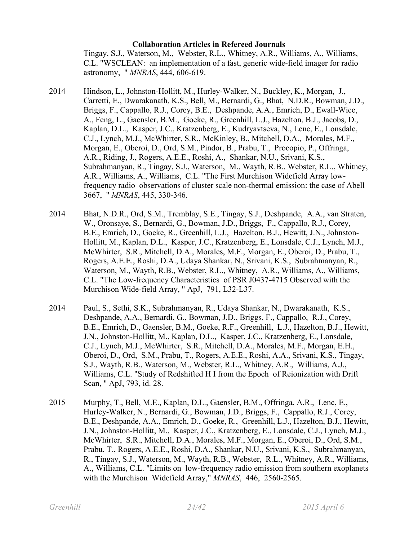Tingay, S.J., Waterson, M., Webster, R.L., Whitney, A.R., Williams, A., Williams, C.L. "WSCLEAN: an implementation of a fast, generic wide-field imager for radio astronomy, " *MNRAS*, 444, 606-619.

- 2014 Hindson, L., Johnston-Hollitt, M., Hurley-Walker, N., Buckley, K., Morgan, J., Carretti, E., Dwarakanath, K.S., Bell, M., Bernardi, G., Bhat, N.D.R., Bowman, J.D., Briggs, F., Cappallo, R.J., Corey, B.E., Deshpande, A.A., Emrich, D., Ewall-Wice, A., Feng, L., Gaensler, B.M., Goeke, R., Greenhill, L.J., Hazelton, B.J., Jacobs, D., Kaplan, D.L., Kasper, J.C., Kratzenberg, E., Kudryavtseva, N., Lenc, E., Lonsdale, C.J., Lynch, M.J., McWhirter, S.R., McKinley, B., Mitchell, D.A., Morales, M.F., Morgan, E., Oberoi, D., Ord, S.M., Pindor, B., Prabu, T., Procopio, P., Offringa, A.R., Riding, J., Rogers, A.E.E., Roshi, A., Shankar, N.U., Srivani, K.S., Subrahmanyan, R., Tingay, S.J., Waterson, M., Wayth, R.B., Webster, R.L., Whitney, A.R., Williams, A., Williams, C.L. "The First Murchison Widefield Array lowfrequency radio observations of cluster scale non-thermal emission: the case of Abell 3667, " *MNRAS*, 445, 330-346.
- 2014 Bhat, N.D.R., Ord, S.M., Tremblay, S.E., Tingay, S.J., Deshpande, A.A., van Straten, W., Oronsaye, S., Bernardi, G., Bowman, J.D., Briggs, F., Cappallo, R.J., Corey, B.E., Emrich, D., Goeke, R., Greenhill, L.J., Hazelton, B.J., Hewitt, J.N., Johnston-Hollitt, M., Kaplan, D.L., Kasper, J.C., Kratzenberg, E., Lonsdale, C.J., Lynch, M.J., McWhirter, S.R., Mitchell, D.A., Morales, M.F., Morgan, E., Oberoi, D., Prabu, T., Rogers, A.E.E., Roshi, D.A., Udaya Shankar, N., Srivani, K.S., Subrahmanyan, R., Waterson, M., Wayth, R.B., Webster, R.L., Whitney, A.R., Williams, A., Williams, C.L. "The Low-frequency Characteristics of PSR J0437-4715 Observed with the Murchison Wide-field Array, " ApJ, 791, L32-L37.
- 2014 Paul, S., Sethi, S.K., Subrahmanyan, R., Udaya Shankar, N., Dwarakanath, K.S., Deshpande, A.A., Bernardi, G., Bowman, J.D., Briggs, F., Cappallo, R.J., Corey, B.E., Emrich, D., Gaensler, B.M., Goeke, R.F., Greenhill, L.J., Hazelton, B.J., Hewitt, J.N., Johnston-Hollitt, M., Kaplan, D.L., Kasper, J.C., Kratzenberg, E., Lonsdale, C.J., Lynch, M.J., McWhirter, S.R., Mitchell, D.A., Morales, M.F., Morgan, E.H., Oberoi, D., Ord, S.M., Prabu, T., Rogers, A.E.E., Roshi, A.A., Srivani, K.S., Tingay, S.J., Wayth, R.B., Waterson, M., Webster, R.L., Whitney, A.R., Williams, A.J., Williams, C.L. "Study of Redshifted H I from the Epoch of Reionization with Drift Scan, " ApJ, 793, id. 28.
- 2015 Murphy, T., Bell, M.E., Kaplan, D.L., Gaensler, B.M., Offringa, A.R., Lenc, E., Hurley-Walker, N., Bernardi, G., Bowman, J.D., Briggs, F., Cappallo, R.J., Corey, B.E., Deshpande, A.A., Emrich, D., Goeke, R., Greenhill, L.J., Hazelton, B.J., Hewitt, J.N., Johnston-Hollitt, M., Kasper, J.C., Kratzenberg, E., Lonsdale, C.J., Lynch, M.J., McWhirter, S.R., Mitchell, D.A., Morales, M.F., Morgan, E., Oberoi, D., Ord, S.M., Prabu, T., Rogers, A.E.E., Roshi, D.A., Shankar, N.U., Srivani, K.S., Subrahmanyan, R., Tingay, S.J., Waterson, M., Wayth, R.B., Webster, R.L., Whitney, A.R., Williams, A., Williams, C.L. "Limits on low-frequency radio emission from southern exoplanets with the Murchison Widefield Array," *MNRAS*, 446, 2560-2565.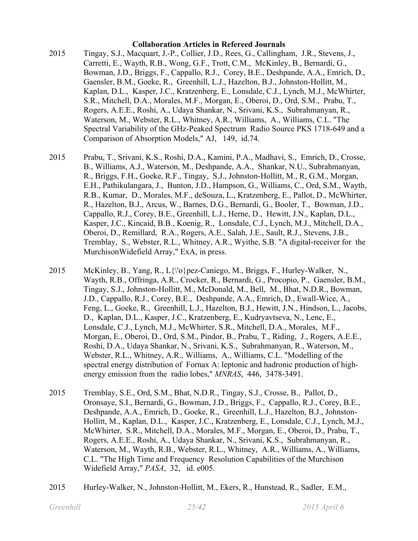- 2015 Tingay, S.J., Macquart, J.-P., Collier, J.D., Rees, G., Callingham, J.R., Stevens, J., Carretti, E., Wayth, R.B., Wong, G.F., Trott, C.M., McKinley, B., Bernardi, G., Bowman, J.D., Briggs, F., Cappallo, R.J., Corey, B.E., Deshpande, A.A., Emrich, D., Gaensler, B.M., Goeke, R., Greenhill, L.J., Hazelton, B.J., Johnston-Hollitt, M., Kaplan, D.L., Kasper, J.C., Kratzenberg, E., Lonsdale, C.J., Lynch, M.J., McWhirter, S.R., Mitchell, D.A., Morales, M.F., Morgan, E., Oberoi, D., Ord, S.M., Prabu, T., Rogers, A.E.E., Roshi, A., Udaya Shankar, N., Srivani, K.S., Subrahmanyan, R., Waterson, M., Webster, R.L., Whitney, A.R., Williams, A., Williams, C.L. "The Spectral Variability of the GHz-Peaked Spectrum Radio Source PKS 1718-649 and a Comparison of Absorption Models," AJ, 149, id.74.
- 2015 Prabu, T., Srivani, K.S., Roshi, D.A., Kamini, P.A., Madhavi, S., Emrich, D., Crosse, B., Williams, A.J., Waterson, M., Deshpande, A.A., Shankar, N.U., Subrahmanyan, R., Briggs, F.H., Goeke, R.F., Tingay, S.J., Johnston-Hollitt, M., R, G.M., Morgan, E.H., Pathikulangara, J., Bunton, J.D., Hampson, G., Williams, C., Ord, S.M., Wayth, R.B., Kumar, D., Morales, M.F., deSouza, L., Kratzenberg, E., Pallot, D., McWhirter, R., Hazelton, B.J., Arcus, W., Barnes, D.G., Bernardi, G., Booler, T., Bowman, J.D., Cappallo, R.J., Corey, B.E., Greenhill, L.J., Herne, D., Hewitt, J.N., Kaplan, D.L., Kasper, J.C., Kincaid, B.B., Koenig, R., Lonsdale, C.J., Lynch, M.J., Mitchell, D.A., Oberoi, D., Remillard, R.A., Rogers, A.E., Salah, J.E., Sault, R.J., Stevens, J.B., Tremblay, S., Webster, R.L., Whitney, A.R., Wyithe, S.B. "A digital-receiver for the MurchisonWidefield Array," ExA, in press.
- 2015 McKinley, B., Yang, R., L{\'o}pez-Caniego, M., Briggs, F., Hurley-Walker, N., Wayth, R.B., Offringa, A.R., Crocker, R., Bernardi, G., Procopio, P., Gaensler, B.M., Tingay, S.J., Johnston-Hollitt, M., McDonald, M., Bell, M., Bhat, N.D.R., Bowman, J.D., Cappallo, R.J., Corey, B.E., Deshpande, A.A., Emrich, D., Ewall-Wice, A., Feng, L., Goeke, R., Greenhill, L.J., Hazelton, B.J., Hewitt, J.N., Hindson, L., Jacobs, D., Kaplan, D.L., Kasper, J.C., Kratzenberg, E., Kudryavtseva, N., Lenc, E., Lonsdale, C.J., Lynch, M.J., McWhirter, S.R., Mitchell, D.A., Morales, M.F., Morgan, E., Oberoi, D., Ord, S.M., Pindor, B., Prabu, T., Riding, J., Rogers, A.E.E., Roshi, D.A., Udaya Shankar, N., Srivani, K.S., Subrahmanyan, R., Waterson, M., Webster, R.L., Whitney, A.R., Williams, A., Williams, C.L. "Modelling of the spectral energy distribution of Fornax A: leptonic and hadronic production of highenergy emission from the radio lobes," *MNRAS*, 446, 3478-3491.
- 2015 Tremblay, S.E., Ord, S.M., Bhat, N.D.R., Tingay, S.J., Crosse, B., Pallot, D., Oronsaye, S.I., Bernardi, G., Bowman, J.D., Briggs, F., Cappallo, R.J., Corey, B.E., Deshpande, A.A., Emrich, D., Goeke, R., Greenhill, L.J., Hazelton, B.J., Johnston-Hollitt, M., Kaplan, D.L., Kasper, J.C., Kratzenberg, E., Lonsdale, C.J., Lynch, M.J., McWhirter, S.R., Mitchell, D.A., Morales, M.F., Morgan, E., Oberoi, D., Prabu, T., Rogers, A.E.E., Roshi, A., Udaya Shankar, N., Srivani, K.S., Subrahmanyan, R., Waterson, M., Wayth, R.B., Webster, R.L., Whitney, A.R., Williams, A., Williams, C.L. "The High Time and Frequency Resolution Capabilities of the Murchison Widefield Array," *PASA*, 32, id. e005.
- 2015 Hurley-Walker, N., Johnston-Hollitt, M., Ekers, R., Hunstead, R., Sadler, E.M.,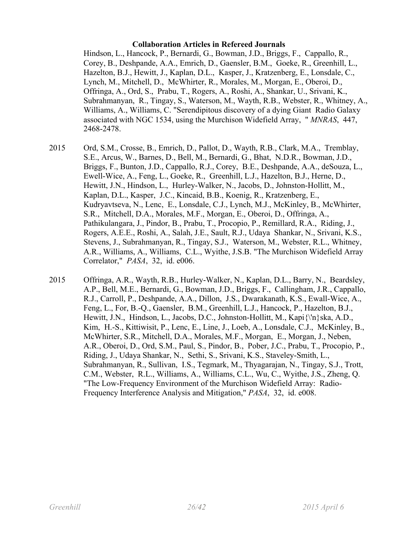Hindson, L., Hancock, P., Bernardi, G., Bowman, J.D., Briggs, F., Cappallo, R., Corey, B., Deshpande, A.A., Emrich, D., Gaensler, B.M., Goeke, R., Greenhill, L., Hazelton, B.J., Hewitt, J., Kaplan, D.L., Kasper, J., Kratzenberg, E., Lonsdale, C., Lynch, M., Mitchell, D., McWhirter, R., Morales, M., Morgan, E., Oberoi, D., Offringa, A., Ord, S., Prabu, T., Rogers, A., Roshi, A., Shankar, U., Srivani, K., Subrahmanyan, R., Tingay, S., Waterson, M., Wayth, R.B., Webster, R., Whitney, A., Williams, A., Williams, C. "Serendipitous discovery of a dying Giant Radio Galaxy associated with NGC 1534, using the Murchison Widefield Array, " *MNRAS*, 447, 2468-2478.

- 2015 Ord, S.M., Crosse, B., Emrich, D., Pallot, D., Wayth, R.B., Clark, M.A., Tremblay, S.E., Arcus, W., Barnes, D., Bell, M., Bernardi, G., Bhat, N.D.R., Bowman, J.D., Briggs, F., Bunton, J.D., Cappallo, R.J., Corey, B.E., Deshpande, A.A., deSouza, L., Ewell-Wice, A., Feng, L., Goeke, R., Greenhill, L.J., Hazelton, B.J., Herne, D., Hewitt, J.N., Hindson, L., Hurley-Walker, N., Jacobs, D., Johnston-Hollitt, M., Kaplan, D.L., Kasper, J.C., Kincaid, B.B., Koenig, R., Kratzenberg, E., Kudryavtseva, N., Lenc, E., Lonsdale, C.J., Lynch, M.J., McKinley, B., McWhirter, S.R., Mitchell, D.A., Morales, M.F., Morgan, E., Oberoi, D., Offringa, A., Pathikulangara, J., Pindor, B., Prabu, T., Procopio, P., Remillard, R.A., Riding, J., Rogers, A.E.E., Roshi, A., Salah, J.E., Sault, R.J., Udaya Shankar, N., Srivani, K.S., Stevens, J., Subrahmanyan, R., Tingay, S.J., Waterson, M., Webster, R.L., Whitney, A.R., Williams, A., Williams, C.L., Wyithe, J.S.B. "The Murchison Widefield Array Correlator," *PASA*, 32, id. e006.
- 2015 Offringa, A.R., Wayth, R.B., Hurley-Walker, N., Kaplan, D.L., Barry, N., Beardsley, A.P., Bell, M.E., Bernardi, G., Bowman, J.D., Briggs, F., Callingham, J.R., Cappallo, R.J., Carroll, P., Deshpande, A.A., Dillon, J.S., Dwarakanath, K.S., Ewall-Wice, A., Feng, L., For, B.-Q., Gaensler, B.M., Greenhill, L.J., Hancock, P., Hazelton, B.J., Hewitt, J.N., Hindson, L., Jacobs, D.C., Johnston-Hollitt, M., Kapi{\'n}ska, A.D., Kim, H.-S., Kittiwisit, P., Lenc, E., Line, J., Loeb, A., Lonsdale, C.J., McKinley, B., McWhirter, S.R., Mitchell, D.A., Morales, M.F., Morgan, E., Morgan, J., Neben, A.R., Oberoi, D., Ord, S.M., Paul, S., Pindor, B., Pober, J.C., Prabu, T., Procopio, P., Riding, J., Udaya Shankar, N., Sethi, S., Srivani, K.S., Staveley-Smith, L., Subrahmanyan, R., Sullivan, I.S., Tegmark, M., Thyagarajan, N., Tingay, S.J., Trott, C.M., Webster, R.L., Williams, A., Williams, C.L., Wu, C., Wyithe, J.S., Zheng, Q. "The Low-Frequency Environment of the Murchison Widefield Array: Radio-Frequency Interference Analysis and Mitigation," *PASA*, 32, id. e008.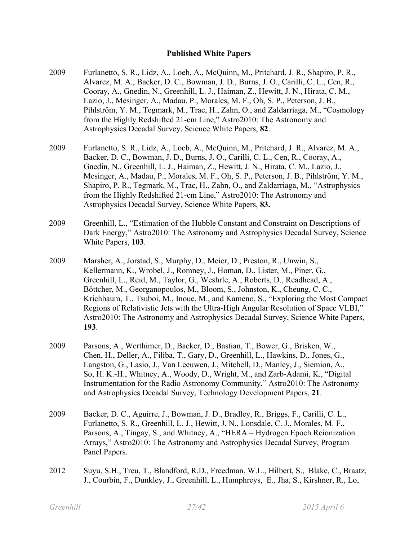#### **Published White Papers**

- 2009 Furlanetto, S. R., Lidz, A., Loeb, A., McQuinn, M., Pritchard, J. R., Shapiro, P. R., Alvarez, M. A., Backer, D. C., Bowman, J. D., Burns, J. O., Carilli, C. L., Cen, R., Cooray, A., Gnedin, N., Greenhill, L. J., Haiman, Z., Hewitt, J. N., Hirata, C. M., Lazio, J., Mesinger, A., Madau, P., Morales, M. F., Oh, S. P., Peterson, J. B., Pihlström, Y. M., Tegmark, M., Trac, H., Zahn, O., and Zaldarriaga, M., "Cosmology from the Highly Redshifted 21-cm Line," Astro2010: The Astronomy and Astrophysics Decadal Survey, Science White Papers, **82**.
- 2009 Furlanetto, S. R., Lidz, A., Loeb, A., McQuinn, M., Pritchard, J. R., Alvarez, M. A., Backer, D. C., Bowman, J. D., Burns, J. O., Carilli, C. L., Cen, R., Cooray, A., Gnedin, N., Greenhill, L. J., Haiman, Z., Hewitt, J. N., Hirata, C. M., Lazio, J., Mesinger, A., Madau, P., Morales, M. F., Oh, S. P., Peterson, J. B., Pihlström, Y. M., Shapiro, P. R., Tegmark, M., Trac, H., Zahn, O., and Zaldarriaga, M., "Astrophysics from the Highly Redshifted 21-cm Line," Astro2010: The Astronomy and Astrophysics Decadal Survey, Science White Papers, **83.**
- 2009 Greenhill, L., "Estimation of the Hubble Constant and Constraint on Descriptions of Dark Energy," Astro2010: The Astronomy and Astrophysics Decadal Survey, Science White Papers, **103**.
- 2009 Marsher, A., Jorstad, S., Murphy, D., Meier, D., Preston, R., Unwin, S., Kellermann, K., Wrobel, J., Romney, J., Homan, D., Lister, M., Piner, G., Greenhill, L., Reid, M., Taylor, G., Weshrle, A., Roberts, D., Readhead, A., Böttcher, M., Georganopoulos, M., Bloom, S., Johnston, K., Cheung, C. C., Krichbaum, T., Tsuboi, M., Inoue, M., and Kameno, S., "Exploring the Most Compact Regions of Relativistic Jets with the Ultra-High Angular Resolution of Space VLBI," Astro2010: The Astronomy and Astrophysics Decadal Survey, Science White Papers, **193**.
- 2009 Parsons, A., Werthimer, D., Backer, D., Bastian, T., Bower, G., Brisken, W., Chen, H., Deller, A., Filiba, T., Gary, D., Greenhill, L., Hawkins, D., Jones, G., Langston, G., Lasio, J., Van Leeuwen, J., Mitchell, D., Manley, J., Siemion, A., So, H. K.-H., Whitney, A., Woody, D., Wright, M., and Zarb-Adami, K., "Digital Instrumentation for the Radio Astronomy Community," Astro2010: The Astronomy and Astrophysics Decadal Survey, Technology Development Papers, **21**.
- 2009 Backer, D. C., Aguirre, J., Bowman, J. D., Bradley, R., Briggs, F., Carilli, C. L., Furlanetto, S. R., Greenhill, L. J., Hewitt, J. N., Lonsdale, C. J., Morales, M. F., Parsons, A., Tingay, S., and Whitney, A., "HERA – Hydrogen Epoch Reionization Arrays," Astro2010: The Astronomy and Astrophysics Decadal Survey, Program Panel Papers.
- 2012 Suyu, S.H., Treu, T., Blandford, R.D., Freedman, W.L., Hilbert, S., Blake, C., Braatz, J., Courbin, F., Dunkley, J., Greenhill, L., Humphreys, E., Jha, S., Kirshner, R., Lo,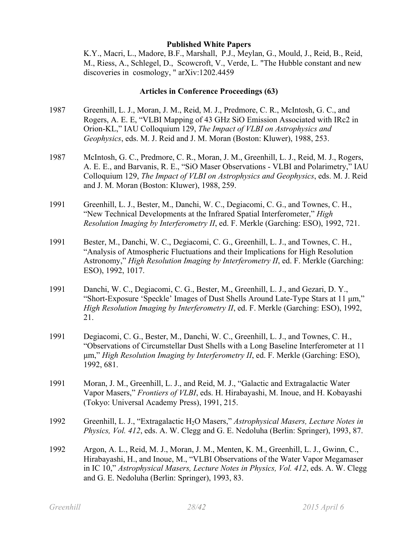#### **Published White Papers**

K.Y., Macri, L., Madore, B.F., Marshall, P.J., Meylan, G., Mould, J., Reid, B., Reid, M., Riess, A., Schlegel, D., Scowcroft, V., Verde, L. "The Hubble constant and new discoveries in cosmology, " arXiv:1202.4459

## **Articles in Conference Proceedings (63)**

- 1987 Greenhill, L. J., Moran, J. M., Reid, M. J., Predmore, C. R., McIntosh, G. C., and Rogers, A. E. E, "VLBI Mapping of 43 GHz SiO Emission Associated with IRc2 in Orion-KL," IAU Colloquium 129, *The Impact of VLBI on Astrophysics and Geophysics*, eds. M. J. Reid and J. M. Moran (Boston: Kluwer), 1988, 253.
- 1987 McIntosh, G. C., Predmore, C. R., Moran, J. M., Greenhill, L. J., Reid, M. J., Rogers, A. E. E., and Barvanis, R. E., "SiO Maser Observations - VLBI and Polarimetry," IAU Colloquium 129, *The Impact of VLBI on Astrophysics and Geophysics*, eds. M. J. Reid and J. M. Moran (Boston: Kluwer), 1988, 259.
- 1991 Greenhill, L. J., Bester, M., Danchi, W. C., Degiacomi, C. G., and Townes, C. H., "New Technical Developments at the Infrared Spatial Interferometer," *High Resolution Imaging by Interferometry II*, ed. F. Merkle (Garching: ESO), 1992, 721.
- 1991 Bester, M., Danchi, W. C., Degiacomi, C. G., Greenhill, L. J., and Townes, C. H., "Analysis of Atmospheric Fluctuations and their Implications for High Resolution Astronomy," *High Resolution Imaging by Interferometry II*, ed. F. Merkle (Garching: ESO), 1992, 1017.
- 1991 Danchi, W. C., Degiacomi, C. G., Bester, M., Greenhill, L. J., and Gezari, D. Y., "Short-Exposure 'Speckle' Images of Dust Shells Around Late-Type Stars at 11 µm," *High Resolution Imaging by Interferometry II*, ed. F. Merkle (Garching: ESO), 1992, 21.
- 1991 Degiacomi, C. G., Bester, M., Danchi, W. C., Greenhill, L. J., and Townes, C. H., "Observations of Circumstellar Dust Shells with a Long Baseline Interferometer at 11 µm," *High Resolution Imaging by Interferometry II*, ed. F. Merkle (Garching: ESO), 1992, 681.
- 1991 Moran, J. M., Greenhill, L. J., and Reid, M. J., "Galactic and Extragalactic Water Vapor Masers," *Frontiers of VLBI*, eds. H. Hirabayashi, M. Inoue, and H. Kobayashi (Tokyo: Universal Academy Press), 1991, 215.
- 1992 Greenhill, L. J., "Extragalactic H2O Masers," *Astrophysical Masers, Lecture Notes in Physics, Vol. 412*, eds. A. W. Clegg and G. E. Nedoluha (Berlin: Springer), 1993, 87.
- 1992 Argon, A. L., Reid, M. J., Moran, J. M., Menten, K. M., Greenhill, L. J., Gwinn, C., Hirabayashi, H., and Inoue, M., "VLBI Observations of the Water Vapor Megamaser in IC 10," *Astrophysical Masers, Lecture Notes in Physics, Vol. 412*, eds. A. W. Clegg and G. E. Nedoluha (Berlin: Springer), 1993, 83.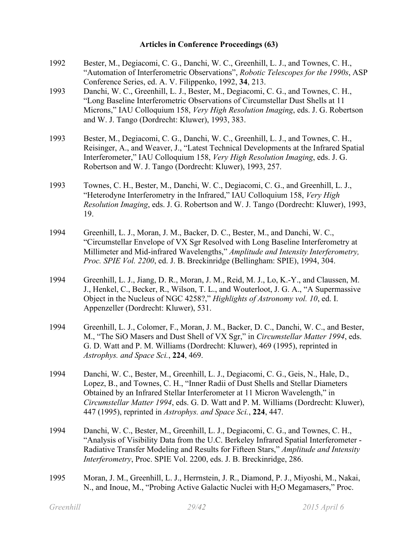- 1992 Bester, M., Degiacomi, C. G., Danchi, W. C., Greenhill, L. J., and Townes, C. H., "Automation of Interferometric Observations", *Robotic Telescopes for the 1990s*, ASP Conference Series, ed. A. V. Filippenko, 1992, **34**, 213.
- 1993 Danchi, W. C., Greenhill, L. J., Bester, M., Degiacomi, C. G., and Townes, C. H., "Long Baseline Interferometric Observations of Circumstellar Dust Shells at 11 Microns," IAU Colloquium 158, *Very High Resolution Imaging*, eds. J. G. Robertson and W. J. Tango (Dordrecht: Kluwer), 1993, 383.
- 1993 Bester, M., Degiacomi, C. G., Danchi, W. C., Greenhill, L. J., and Townes, C. H., Reisinger, A., and Weaver, J., "Latest Technical Developments at the Infrared Spatial Interferometer," IAU Colloquium 158, *Very High Resolution Imaging*, eds. J. G. Robertson and W. J. Tango (Dordrecht: Kluwer), 1993, 257.
- 1993 Townes, C. H., Bester, M., Danchi, W. C., Degiacomi, C. G., and Greenhill, L. J., "Heterodyne Interferometry in the Infrared," IAU Colloquium 158, *Very High Resolution Imaging*, eds. J. G. Robertson and W. J. Tango (Dordrecht: Kluwer), 1993, 19.
- 1994 Greenhill, L. J., Moran, J. M., Backer, D. C., Bester, M., and Danchi, W. C., "Circumstellar Envelope of VX Sgr Resolved with Long Baseline Interferometry at Millimeter and Mid-infrared Wavelengths," *Amplitude and Intensity Interferometry, Proc. SPIE Vol. 2200*, ed. J. B. Breckinridge (Bellingham: SPIE), 1994, 304.
- 1994 Greenhill, L. J., Jiang, D. R., Moran, J. M., Reid, M. J., Lo, K.-Y., and Claussen, M. J., Henkel, C., Becker, R., Wilson, T. L., and Wouterloot, J. G. A., "A Supermassive Object in the Nucleus of NGC 4258?," *Highlights of Astronomy vol. 10*, ed. I. Appenzeller (Dordrecht: Kluwer), 531.
- 1994 Greenhill, L. J., Colomer, F., Moran, J. M., Backer, D. C., Danchi, W. C., and Bester, M., "The SiO Masers and Dust Shell of VX Sgr," in *Circumstellar Matter 1994*, eds. G. D. Watt and P. M. Williams (Dordrecht: Kluwer), 469 (1995), reprinted in *Astrophys. and Space Sci.*, **224**, 469.
- 1994 Danchi, W. C., Bester, M., Greenhill, L. J., Degiacomi, C. G., Geis, N., Hale, D., Lopez, B., and Townes, C. H., "Inner Radii of Dust Shells and Stellar Diameters Obtained by an Infrared Stellar Interferometer at 11 Micron Wavelength," in *Circumstellar Matter 1994*, eds. G. D. Watt and P. M. Williams (Dordrecht: Kluwer), 447 (1995), reprinted in *Astrophys. and Space Sci.*, **224**, 447.
- 1994 Danchi, W. C., Bester, M., Greenhill, L. J., Degiacomi, C. G., and Townes, C. H., "Analysis of Visibility Data from the U.C. Berkeley Infrared Spatial Interferometer - Radiative Transfer Modeling and Results for Fifteen Stars," *Amplitude and Intensity Interferometry*, Proc. SPIE Vol. 2200, eds. J. B. Breckinridge, 286.
- 1995 Moran, J. M., Greenhill, L. J., Herrnstein, J. R., Diamond, P. J., Miyoshi, M., Nakai, N., and Inoue, M., "Probing Active Galactic Nuclei with H2O Megamasers," Proc.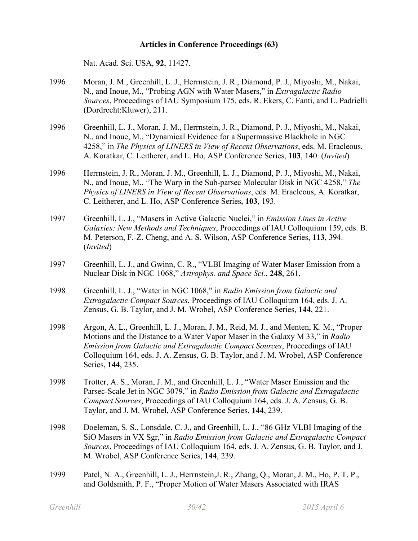Nat. Acad. Sci. USA, **92**, 11427.

- 1996 Moran, J. M., Greenhill, L. J., Herrnstein, J. R., Diamond, P. J., Miyoshi, M., Nakai, N., and Inoue, M., "Probing AGN with Water Masers," in *Extragalactic Radio Sources*, Proceedings of IAU Symposium 175, eds. R. Ekers, C. Fanti, and L. Padrielli (Dordrecht:Kluwer), 211.
- 1996 Greenhill, L. J., Moran, J. M., Herrnstein, J. R., Diamond, P. J., Miyoshi, M., Nakai, N., and Inoue, M., "Dynamical Evidence for a Supermassive Blackhole in NGC 4258," in *The Physics of LINERS in View of Recent Observations*, eds. M. Eracleous, A. Koratkar, C. Leitherer, and L. Ho, ASP Conference Series, **103**, 140. (*Invited*)
- 1996 Herrnstein, J. R., Moran, J. M., Greenhill, L. J., Diamond, P. J., Miyoshi, M., Nakai, N., and Inoue, M., "The Warp in the Sub-parsec Molecular Disk in NGC 4258," *The Physics of LINERS in View of Recent Observations*, eds. M. Eracleous, A. Koratkar, C. Leitherer, and L. Ho, ASP Conference Series, **103**, 193.
- 1997 Greenhill, L. J., "Masers in Active Galactic Nuclei," in *Emission Lines in Active Galaxies: New Methods and Techniques*, Proceedings of IAU Colloquium 159, eds. B. M. Peterson, F.-Z. Cheng, and A. S. Wilson, ASP Conference Series, **113**, 394. (*Invited*)
- 1997 Greenhill, L. J., and Gwinn, C. R., "VLBI Imaging of Water Maser Emission from a Nuclear Disk in NGC 1068," *Astrophys. and Space Sci.*, **248**, 261.
- 1998 Greenhill, L. J., "Water in NGC 1068," in *Radio Emission from Galactic and Extragalactic Compact Sources*, Proceedings of IAU Colloquium 164, eds. J. A. Zensus, G. B. Taylor, and J. M. Wrobel, ASP Conference Series, **144**, 221.
- 1998 Argon, A. L., Greenhill, L. J., Moran, J. M., Reid, M. J., and Menten, K. M., "Proper Motions and the Distance to a Water Vapor Maser in the Galaxy M 33," in *Radio Emission from Galactic and Extragalactic Compact Sources*, Proceedings of IAU Colloquium 164, eds. J. A. Zensus, G. B. Taylor, and J. M. Wrobel, ASP Conference Series, **144**, 235.
- 1998 Trotter, A. S., Moran, J. M., and Greenhill, L. J., "Water Maser Emission and the Parsec-Scale Jet in NGC 3079," in *Radio Emission from Galactic and Extragalactic Compact Sources*, Proceedings of IAU Colloquium 164, eds. J. A. Zensus, G. B. Taylor, and J. M. Wrobel, ASP Conference Series, **144**, 239.
- 1998 Doeleman, S. S., Lonsdale, C. J., and Greenhill, L. J., "86 GHz VLBI Imaging of the SiO Masers in VX Sgr," in *Radio Emission from Galactic and Extragalactic Compact Sources*, Proceedings of IAU Colloquium 164, eds. J. A. Zensus, G. B. Taylor, and J. M. Wrobel, ASP Conference Series, **144**, 239.
- 1999 Patel, N. A., Greenhill, L. J., Herrnstein,J. R., Zhang, Q., Moran, J. M., Ho, P. T. P., and Goldsmith, P. F., "Proper Motion of Water Masers Associated with IRAS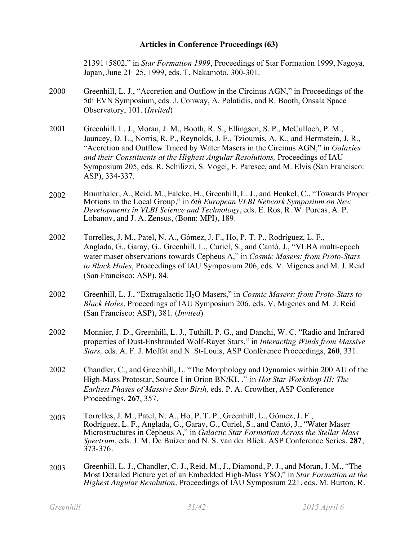21391+5802," in *Star Formation 1999*, Proceedings of Star Formation 1999, Nagoya, Japan, June 21–25, 1999, eds. T. Nakamoto, 300-301.

- 2000 Greenhill, L. J., "Accretion and Outflow in the Circinus AGN," in Proceedings of the 5th EVN Symposium, eds. J. Conway, A. Polatidis, and R. Booth, Onsala Space Observatory, 101. (*Invited*)
- 2001 Greenhill, L. J., Moran, J. M., Booth, R. S., Ellingsen, S. P., McCulloch, P. M., Jauncey, D. L., Norris, R. P., Reynolds, J. E., Tzioumis, A. K., and Herrnstein, J. R., "Accretion and Outflow Traced by Water Masers in the Circinus AGN," in *Galaxies and their Constituents at the Highest Angular Resolutions,* Proceedings of IAU Symposium 205, eds. R. Schilizzi, S. Vogel, F. Paresce, and M. Elvis (San Francisco: ASP), 334-337.
- 2002 Brunthaler, A., Reid, M., Falcke, H., Greenhill, L. J., and Henkel, C., "Towards Proper Motions in the Local Group," in *6th European VLBI Network Symposium on New Developments in VLBI Science and Technology*, eds. E. Ros, R. W. Porcas, A. P. Lobanov, and J. A. Zensus, (Bonn: MPI), 189.
- 2002 Torrelles, J. M., Patel, N. A., Gómez, J. F., Ho, P. T. P., Rodríguez, L. F., Anglada, G., Garay, G., Greenhill, L., Curiel, S., and Cantó, J., "VLBA multi-epoch water maser observations towards Cepheus A," in *Cosmic Masers: from Proto-Stars to Black Holes*, Proceedings of IAU Symposium 206, eds. V. Migenes and M. J. Reid (San Francisco: ASP), 84.
- 2002 Greenhill, L. J., "Extragalactic H2O Masers," in *Cosmic Masers: from Proto-Stars to Black Holes*, Proceedings of IAU Symposium 206, eds. V. Migenes and M. J. Reid (San Francisco: ASP), 381. (*Invited*)
- 2002 Monnier, J. D., Greenhill, L. J., Tuthill, P. G., and Danchi, W. C. "Radio and Infrared properties of Dust-Enshrouded Wolf-Rayet Stars," in *Interacting Winds from Massive Stars,* eds. A. F. J. Moffat and N. St-Louis, ASP Conference Proceedings, **260**, 331.
- 2002 Chandler, C., and Greenhill, L. "The Morphology and Dynamics within 200 AU of the High-Mass Protostar, Source I in Orion BN/KL ," in *Hot Star Workshop III: The Earliest Phases of Massive Star Birth,* eds. P. A. Crowther, ASP Conference Proceedings, **267**, 357.
- 2003 Torrelles, J. M., Patel, N. A., Ho, P. T. P., Greenhill, L., Gómez, J. F., Rodríguez, L. F., Anglada, G., Garay, G., Curiel, S., and Cantó, J., "Water Maser Microstructures in Cepheus A," in *Galactic Star Formation Across the Stellar Mass Spectrum*, eds. J. M. De Buizer and N. S. van der Bliek, ASP Conference Series, **287**, 373-376.
- 2003 Greenhill, L. J., Chandler, C. J., Reid, M., J., Diamond, P. J., and Moran, J. M., "The Most Detailed Picture yet of an Embedded High-Mass YSO," in *Star Formation at the Highest Angular Resolution,* Proceedings of IAU Symposium 221, eds. M. Burton, R.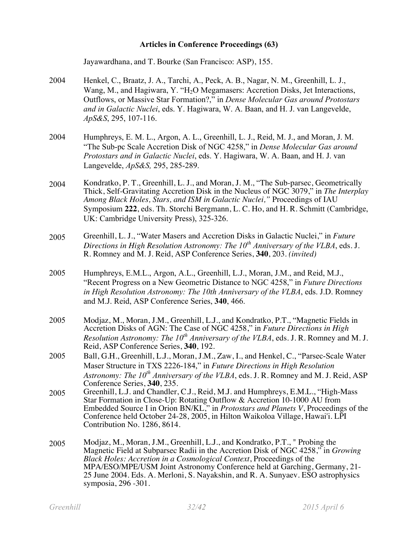Jayawardhana, and T. Bourke (San Francisco: ASP), 155.

- 2004 Henkel, C., Braatz, J. A., Tarchi, A., Peck, A. B., Nagar, N. M., Greenhill, L. J., Wang, M., and Hagiwara, Y. "H<sub>2</sub>O Megamasers: Accretion Disks, Jet Interactions, Outflows, or Massive Star Formation?," in *Dense Molecular Gas around Protostars and in Galactic Nuclei*, eds. Y. Hagiwara, W. A. Baan, and H. J. van Langevelde, *ApS&S*, 295, 107-116.
- 2004 Humphreys, E. M. L., Argon, A. L., Greenhill, L. J., Reid, M. J., and Moran, J. M. "The Sub-pc Scale Accretion Disk of NGC 4258," in *Dense Molecular Gas around Protostars and in Galactic Nuclei*, eds. Y. Hagiwara, W. A. Baan, and H. J. van Langevelde, *ApS&S,* 295, 285-289.
- 2004 Kondratko, P. T., Greenhill, L. J., and Moran, J. M., "The Sub-parsec, Geometrically Thick, Self-Gravitating Accretion Disk in the Nucleus of NGC 3079," in *The Interplay Among Black Holes, Stars, and ISM in Galactic Nuclei,"* Proceedings of IAU Symposium **222**, eds. Th. Storchi Bergmann, L. C. Ho, and H. R. Schmitt (Cambridge, UK: Cambridge University Press), 325-326.
- 2005 Greenhill, L. J., "Water Masers and Accretion Disks in Galactic Nuclei," in *Future Directions in High Resolution Astronomy: The 10th Anniversary of the VLBA*, eds. J. R. Romney and M. J. Reid, ASP Conference Series, **340**, 203. *(invited)*
- 2005 Humphreys, E.M.L., Argon, A.L., Greenhill, L.J., Moran, J.M., and Reid, M.J., "Recent Progress on a New Geometric Distance to NGC 4258," in *Future Directions in High Resolution Astronomy: The 10th Anniversary of the VLBA*, eds. J.D. Romney and M.J. Reid, ASP Conference Series, **340**, 466.
- 2005 Modjaz, M., Moran, J.M., Greenhill, L.J., and Kondratko, P.T., "Magnetic Fields in Accretion Disks of AGN: The Case of NGC 4258," in *Future Directions in High Resolution Astronomy: The 10th Anniversary of the VLBA*, eds. J. R. Romney and M. J. Reid, ASP Conference Series, **340**, 192.
- 2005 Ball, G.H., Greenhill, L.J., Moran, J.M., Zaw, I., and Henkel, C., "Parsec-Scale Water Maser Structure in TXS 2226-184," in *Future Directions in High Resolution Astronomy: The 10th Anniversary of the VLBA*, eds. J. R. Romney and M. J. Reid, ASP Conference Series, **340**, 235.
- 2005 Greenhill, L.J. and Chandler, C.J., Reid, M.J. and Humphreys, E.M.L., "High-Mass Star Formation in Close-Up: Rotating Outflow & Accretion 10-1000 AU from Embedded Source I in Orion BN/KL," in *Protostars and Planets V*, Proceedings of the Conference held October 24-28, 2005, in Hilton Waikoloa Village, Hawai'i. LPI Contribution No. 1286, 8614.
- 2005 Modjaz, M., Moran, J.M., Greenhill, L.J., and Kondratko, P.T., " Probing the Magnetic Field at Subparsec Radii in the Accretion Disk of NGC 4258," in *Growing Black Holes: Accretion in a Cosmological Context*, Proceedings of the MPA/ESO/MPE/USM Joint Astronomy Conference held at Garching, Germany, 21-25 June 2004. Eds. A. Merloni, S. Nayakshin, and R. A. Sunyaev. ESO astrophysics symposia, 296 -301.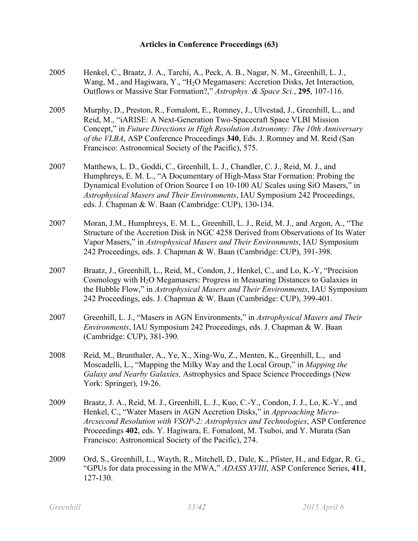- 2005 Henkel, C., Braatz, J. A., Tarchi, A., Peck, A. B., Nagar, N. M., Greenhill, L. J., Wang, M., and Hagiwara, Y., "H<sub>2</sub>O Megamasers: Accretion Disks, Jet Interaction, Outflows or Massive Star Formation?," *Astrophys. & Space Sci.*, **295**, 107-116.
- 2005 Murphy, D., Preston, R., Fomalont, E., Romney, J., Ulvestad, J., Greenhill, L., and Reid, M., "iARISE: A Next-Generation Two-Spacecraft Space VLBI Mission Concept," in *Future Directions in High Resolution Astronomy: The 10th Anniversary of the VLBA*, ASP Conference Proceedings **340**, Eds. J. Romney and M. Reid (San Francisco: Astronomical Society of the Pacific), 575.
- 2007 Matthews, L. D., Goddi, C., Greenhill, L. J., Chandler, C. J., Reid, M. J., and Humphreys, E. M. L., "A Documentary of High-Mass Star Formation: Probing the Dynamical Evolution of Orion Source I on 10-100 AU Scales using SiO Masers," in *Astrophysical Masers and Their Environments*, IAU Symposium 242 Proceedings, eds. J. Chapman & W. Baan (Cambridge: CUP), 130-134.
- 2007 Moran, J.M., Humphreys, E. M. L., Greenhill, L. J., Reid, M. J., and Argon, A., "The Structure of the Accretion Disk in NGC 4258 Derived from Observations of Its Water Vapor Masers," in *Astrophysical Masers and Their Environments*, IAU Symposium 242 Proceedings, eds. J. Chapman & W. Baan (Cambridge: CUP), 391-398.
- 2007 Braatz, J., Greenhill, L., Reid, M., Condon, J., Henkel, C., and Lo, K.-Y, "Precision Cosmology with H2O Megamasers: Progress in Measuring Distances to Galaxies in the Hubble Flow," in *Astrophysical Masers and Their Environments*, IAU Symposium 242 Proceedings, eds. J. Chapman & W. Baan (Cambridge: CUP), 399-401.
- 2007 Greenhill, L. J., "Masers in AGN Environments," in *Astrophysical Masers and Their Environments*, IAU Symposium 242 Proceedings, eds. J. Chapman & W. Baan (Cambridge: CUP), 381-390.
- 2008 Reid, M., Brunthaler, A., Ye, X., Xing-Wu, Z., Menten, K., Greenhill, L., and Moscadelli, L., "Mapping the Milky Way and the Local Group," in *Mapping the Galaxy and Nearby Galaxies,* Astrophysics and Space Science Proceedings (New York: Springer), 19-26.
- 2009 Braatz, J. A., Reid, M. J., Greenhill, L. J., Kuo, C.-Y., Condon, J. J., Lo, K.-Y., and Henkel, C., "Water Masers in AGN Accretion Disks," in *Approaching Micro-Arcsecond Resolution with VSOP-2: Astrophysics and Technologies*, ASP Conference Proceedings **402**, eds. Y. Hagiwara, E. Fomalont, M. Tsuboi, and Y. Murata (San Francisco: Astronomical Society of the Pacific), 274.
- 2009 Ord, S., Greenhill, L., Wayth, R., Mitchell, D., Dale, K., Pfister, H., and Edgar, R. G., "GPUs for data processing in the MWA," *ADASS XVIII*, ASP Conference Series, **411**, 127-130.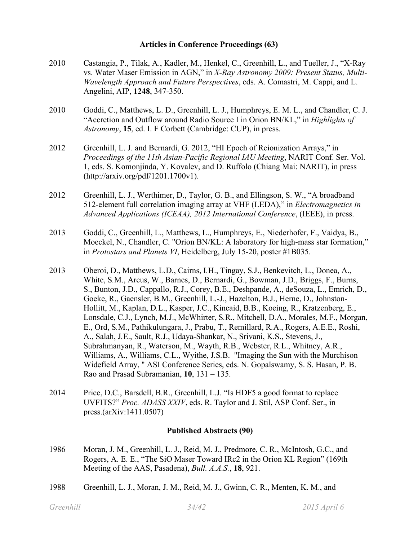- 2010 Castangia, P., Tilak, A., Kadler, M., Henkel, C., Greenhill, L., and Tueller, J., "X-Ray vs. Water Maser Emission in AGN," in *X-Ray Astronomy 2009: Present Status, Multi-Wavelength Approach and Future Perspectives*, eds. A. Comastri, M. Cappi, and L. Angelini, AIP, **1248**, 347-350.
- 2010 Goddi, C., Matthews, L. D., Greenhill, L. J., Humphreys, E. M. L., and Chandler, C. J. "Accretion and Outflow around Radio Source I in Orion BN/KL," in *Highlights of Astronomy*, **15**, ed. I. F Corbett (Cambridge: CUP), in press.
- 2012 Greenhill, L. J. and Bernardi, G. 2012, "HI Epoch of Reionization Arrays," in *Proceedings of the 11th Asian-Pacific Regional IAU Meeting*, NARIT Conf. Ser. Vol. 1, eds. S. Komonjinda, Y. Kovalev, and D. Ruffolo (Chiang Mai: NARIT), in press (http://arxiv.org/pdf/1201.1700v1).
- 2012 Greenhill, L. J., Werthimer, D., Taylor, G. B., and Ellingson, S. W., "A broadband 512-element full correlation imaging array at VHF (LEDA)," in *Electromagnetics in Advanced Applications (ICEAA), 2012 International Conference*, (IEEE), in press.
- 2013 Goddi, C., Greenhill, L., Matthews, L., Humphreys, E., Niederhofer, F., Vaidya, B., Moeckel, N., Chandler, C. "Orion BN/KL: A laboratory for high-mass star formation," in *Protostars and Planets VI*, Heidelberg, July 15-20, poster #1B035.
- 2013 Oberoi, D., Matthews, L*.*D., Cairns, I*.*H., Tingay, S*.*J., Benkevitch, L., Donea, A., White, S*.*M., Arcus, W., Barnes, D., Bernardi, G., Bowman, J*.*D., Briggs, F., Burns, S., Bunton, J*.*D., Cappallo, R*.*J., Corey, B*.*E., Deshpande, A., deSouza, L., Emrich, D., Goeke, R., Gaensler, B*.*M., Greenhill, L.-J., Hazelton, B*.*J., Herne, D., Johnston-Hollitt, M., Kaplan, D*.*L., Kasper, J*.*C., Kincaid, B*.*B., Koeing, R., Kratzenberg, E., Lonsdale, C*.*J., Lynch, M*.*J., McWhirter, S*.*R., Mitchell, D*.*A., Morales, M*.*F., Morgan, E., Ord, S*.*M., Pathikulungara, J., Prabu, T., Remillard, R*.*A., Rogers, A*.*E*.*E., Roshi, A., Salah, J*.*E., Sault, R*.*J., Udaya-Shankar, N., Srivani, K*.*S., Stevens, J., Subrahmanyan, R., Waterson, M., Wayth, R*.*B., Webster, R*.*L., Whitney, A*.*R., Williams, A., Williams, C*.*L., Wyithe, J*.*S*.*B. "Imaging the Sun with the Murchison Widefield Array, " ASI Conference Series, eds. N. Gopalswamy, S. S. Hasan, P. B. Rao and Prasad Subramanian, **10**, 131 – 135.
- 2014 Price, D.C., Barsdell, B.R., Greenhill, L.J. "Is HDF5 a good format to replace UVFITS?" *Proc. ADASS XXIV*, eds. R. Taylor and J. Stil, ASP Conf. Ser., in press.(arXiv:1411.0507)

- 1986 Moran, J. M., Greenhill, L. J., Reid, M. J., Predmore, C. R., McIntosh, G.C., and Rogers, A. E. E., "The SiO Maser Toward IRc2 in the Orion KL Region" (169th Meeting of the AAS, Pasadena), *Bull. A.A.S.*, **18**, 921.
- 1988 Greenhill, L. J., Moran, J. M., Reid, M. J., Gwinn, C. R., Menten, K. M., and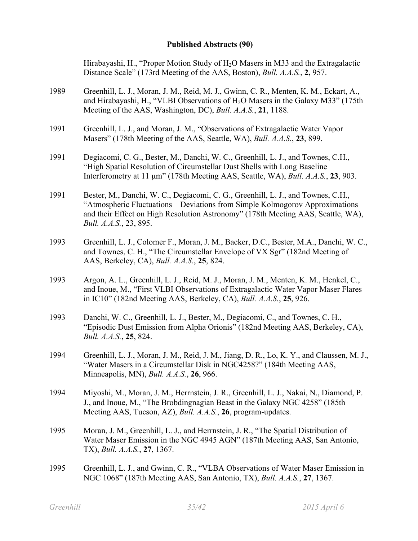Hirabayashi, H., "Proper Motion Study of H2O Masers in M33 and the Extragalactic Distance Scale" (173rd Meeting of the AAS, Boston), *Bull. A.A.S.*, **2,** 957.

- 1989 Greenhill, L. J., Moran, J. M., Reid, M. J., Gwinn, C. R., Menten, K. M., Eckart, A., and Hirabayashi, H., "VLBI Observations of H2O Masers in the Galaxy M33" (175th Meeting of the AAS, Washington, DC), *Bull. A.A.S.*, **21**, 1188.
- 1991 Greenhill, L. J., and Moran, J. M., "Observations of Extragalactic Water Vapor Masers" (178th Meeting of the AAS, Seattle, WA), *Bull. A.A.S.*, **23**, 899.
- 1991 Degiacomi, C. G., Bester, M., Danchi, W. C., Greenhill, L. J., and Townes, C.H., "High Spatial Resolution of Circumstellar Dust Shells with Long Baseline Interferometry at 11 µm" (178th Meeting AAS, Seattle, WA), *Bull. A.A.S.*, **23**, 903.
- 1991 Bester, M., Danchi, W. C., Degiacomi, C. G., Greenhill, L. J., and Townes, C.H., "Atmospheric Fluctuations – Deviations from Simple Kolmogorov Approximations and their Effect on High Resolution Astronomy" (178th Meeting AAS, Seattle, WA), *Bull. A.A.S.*, 23, 895.
- 1993 Greenhill, L. J., Colomer F., Moran, J. M., Backer, D.C., Bester, M.A., Danchi, W. C., and Townes, C. H., "The Circumstellar Envelope of VX Sgr" (182nd Meeting of AAS, Berkeley, CA), *Bull. A.A.S.*, **25**, 824.
- 1993 Argon, A. L., Greenhill, L. J., Reid, M. J., Moran, J. M., Menten, K. M., Henkel, C., and Inoue, M., "First VLBI Observations of Extragalactic Water Vapor Maser Flares in IC10" (182nd Meeting AAS, Berkeley, CA), *Bull. A.A.S.*, **25**, 926.
- 1993 Danchi, W. C., Greenhill, L. J., Bester, M., Degiacomi, C., and Townes, C. H., "Episodic Dust Emission from Alpha Orionis" (182nd Meeting AAS, Berkeley, CA), *Bull. A.A.S.*, **25**, 824.
- 1994 Greenhill, L. J., Moran, J. M., Reid, J. M., Jiang, D. R., Lo, K. Y., and Claussen, M. J., "Water Masers in a Circumstellar Disk in NGC4258?" (184th Meeting AAS, Minneapolis, MN), *Bull. A.A.S.*, **26**, 966.
- 1994 Miyoshi, M., Moran, J. M., Herrnstein, J. R., Greenhill, L. J., Nakai, N., Diamond, P. J., and Inoue, M., "The Brobdingnagian Beast in the Galaxy NGC 4258" (185th Meeting AAS, Tucson, AZ), *Bull. A.A.S.*, **26**, program-updates.
- 1995 Moran, J. M., Greenhill, L. J., and Herrnstein, J. R., "The Spatial Distribution of Water Maser Emission in the NGC 4945 AGN" (187th Meeting AAS, San Antonio, TX), *Bull. A.A.S.*, **27**, 1367.
- 1995 Greenhill, L. J., and Gwinn, C. R., "VLBA Observations of Water Maser Emission in NGC 1068" (187th Meeting AAS, San Antonio, TX), *Bull. A.A.S.*, **27**, 1367.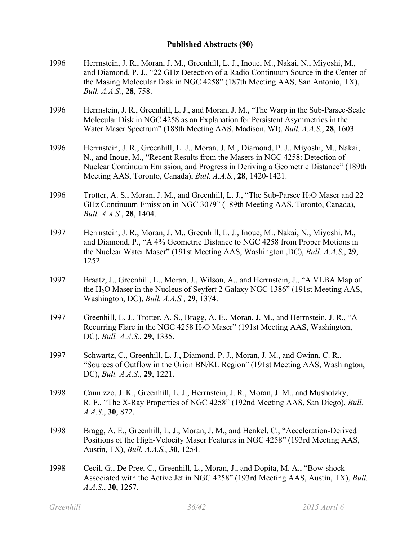- 1996 Herrnstein, J. R., Moran, J. M., Greenhill, L. J., Inoue, M., Nakai, N., Miyoshi, M., and Diamond, P. J., "22 GHz Detection of a Radio Continuum Source in the Center of the Masing Molecular Disk in NGC 4258" (187th Meeting AAS, San Antonio, TX), *Bull. A.A.S.*, **28**, 758.
- 1996 Herrnstein, J. R., Greenhill, L. J., and Moran, J. M., "The Warp in the Sub-Parsec-Scale Molecular Disk in NGC 4258 as an Explanation for Persistent Asymmetries in the Water Maser Spectrum" (188th Meeting AAS, Madison, WI), *Bull. A.A.S.*, **28**, 1603.
- 1996 Herrnstein, J. R., Greenhill, L. J., Moran, J. M., Diamond, P. J., Miyoshi, M., Nakai, N., and Inoue, M., "Recent Results from the Masers in NGC 4258: Detection of Nuclear Continuum Emission, and Progress in Deriving a Geometric Distance" (189th Meeting AAS, Toronto, Canada), *Bull. A.A.S.*, **28**, 1420-1421.
- 1996 Trotter, A. S., Moran, J. M., and Greenhill, L. J., "The Sub-Parsec H<sub>2</sub>O Maser and 22 GHz Continuum Emission in NGC 3079" (189th Meeting AAS, Toronto, Canada), *Bull. A.A.S.*, **28**, 1404.
- 1997 Herrnstein, J. R., Moran, J. M., Greenhill, L. J., Inoue, M., Nakai, N., Miyoshi, M., and Diamond, P., "A 4% Geometric Distance to NGC 4258 from Proper Motions in the Nuclear Water Maser" (191st Meeting AAS, Washington ,DC), *Bull. A.A.S.*, **29**, 1252.
- 1997 Braatz, J., Greenhill, L., Moran, J., Wilson, A., and Herrnstein, J., "A VLBA Map of the H2O Maser in the Nucleus of Seyfert 2 Galaxy NGC 1386" (191st Meeting AAS, Washington, DC), *Bull. A.A.S.*, **29**, 1374.
- 1997 Greenhill, L. J., Trotter, A. S., Bragg, A. E., Moran, J. M., and Herrnstein, J. R., "A Recurring Flare in the NGC 4258 H<sub>2</sub>O Maser" (191st Meeting AAS, Washington, DC), *Bull. A.A.S.*, **29**, 1335.
- 1997 Schwartz, C., Greenhill, L. J., Diamond, P. J., Moran, J. M., and Gwinn, C. R., "Sources of Outflow in the Orion BN/KL Region" (191st Meeting AAS, Washington, DC), *Bull. A.A.S.*, **29**, 1221.
- 1998 Cannizzo, J. K., Greenhill, L. J., Herrnstein, J. R., Moran, J. M., and Mushotzky, R. F., "The X-Ray Properties of NGC 4258" (192nd Meeting AAS, San Diego), *Bull. A.A.S.*, **30**, 872.
- 1998 Bragg, A. E., Greenhill, L. J., Moran, J. M., and Henkel, C., "Acceleration-Derived Positions of the High-Velocity Maser Features in NGC 4258" (193rd Meeting AAS, Austin, TX), *Bull. A.A.S.*, **30**, 1254.
- 1998 Cecil, G., De Pree, C., Greenhill, L., Moran, J., and Dopita, M. A., "Bow-shock Associated with the Active Jet in NGC 4258" (193rd Meeting AAS, Austin, TX), *Bull. A.A.S.*, **30**, 1257.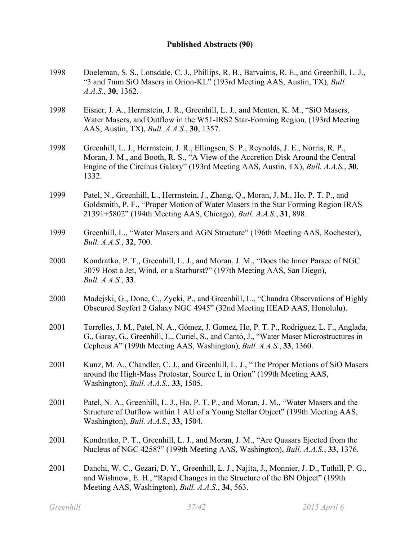- 1998 Doeleman, S. S., Lonsdale, C. J., Phillips, R. B., Barvainis, R. E., and Greenhill, L. J., "3 and 7mm SiO Masers in Orion-KL" (193rd Meeting AAS, Austin, TX), *Bull. A.A.S.*, **30**, 1362.
- 1998 Eisner, J. A., Herrnstein, J. R., Greenhill, L. J., and Menten, K. M., "SiO Masers, Water Masers, and Outflow in the W51-IRS2 Star-Forming Region, (193rd Meeting AAS, Austin, TX), *Bull. A.A.S.*, **30**, 1357.
- 1998 Greenhill, L. J., Herrnstein, J. R., Ellingsen, S. P., Reynolds, J. E., Norris, R. P., Moran, J. M., and Booth, R. S., "A View of the Accretion Disk Around the Central Engine of the Circinus Galaxy" (193rd Meeting AAS, Austin, TX), *Bull. A.A.S.*, **30**, 1332.
- 1999 Patel, N., Greenhill, L., Herrnstein, J., Zhang, Q., Moran, J. M., Ho, P. T. P., and Goldsmith, P. F., "Proper Motion of Water Masers in the Star Forming Region IRAS 21391+5802" (194th Meeting AAS, Chicago), *Bull. A.A.S.*, **31**, 898.
- 1999 Greenhill, L., "Water Masers and AGN Structure" (196th Meeting AAS, Rochester), *Bull. A.A.S.*, **32**, 700.
- 2000 Kondratko, P. T., Greenhill, L. J., and Moran, J. M., "Does the Inner Parsec of NGC 3079 Host a Jet, Wind, or a Starburst?" (197th Meeting AAS, San Diego), *Bull. A.A.S.*, **33**.
- 2000 Madejski, G., Done, C., Zycki, P., and Greenhill, L., "Chandra Observations of Highly Obscured Seyfert 2 Galaxy NGC 4945" (32nd Meeting HEAD AAS, Honolulu).
- 2001 Torrelles, J. M., Patel, N. A., Gómez, J. Gomez, Ho, P. T. P., Rodríguez, L. F., Anglada, G., Garay, G., Greenhill, L., Curiel, S., and Cantó, J., "Water Maser Microstructures in Cepheus A" (199th Meeting AAS, Washington), *Bull. A.A.S.*, **33**, 1360.
- 2001 Kunz, M. A., Chandler, C. J., and Greenhill, L. J., "The Proper Motions of SiO Masers around the High-Mass Protostar, Source I, in Orion" (199th Meeting AAS, Washington), *Bull. A.A.S.*, **33**, 1505.
- 2001 Patel, N. A., Greenhill, L. J., Ho, P. T. P., and Moran, J. M., "Water Masers and the Structure of Outflow within 1 AU of a Young Stellar Object" (199th Meeting AAS, Washington), *Bull. A.A.S.*, **33**, 1504.
- 2001 Kondratko, P. T., Greenhill, L. J., and Moran, J. M., "Are Quasars Ejected from the Nucleus of NGC 4258?" (199th Meeting AAS, Washington), *Bull. A.A.S.*, **33**, 1376.
- 2001 Danchi, W. C., Gezari, D. Y., Greenhill, L. J., Najita, J., Monnier, J. D., Tuthill, P. G., and Wishnow, E. H., "Rapid Changes in the Structure of the BN Object" (199th Meeting AAS, Washington), *Bull. A.A.S.*, **34**, 563.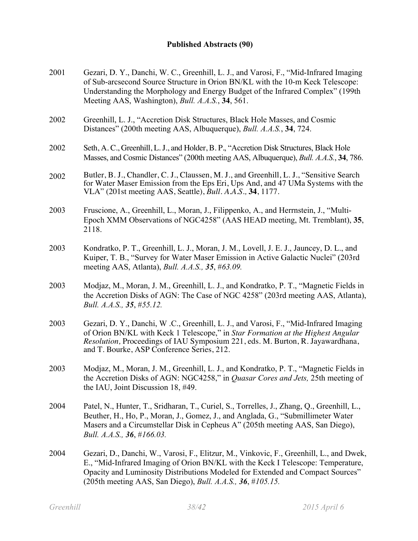- 2001 Gezari, D. Y., Danchi, W. C., Greenhill, L. J., and Varosi, F., "Mid-Infrared Imaging of Sub-arcsecond Source Structure in Orion BN/KL with the 10-m Keck Telescope: Understanding the Morphology and Energy Budget of the Infrared Complex" (199th Meeting AAS, Washington), *Bull. A.A.S.*, **34**, 561.
- 2002 Greenhill, L. J., "Accretion Disk Structures, Black Hole Masses, and Cosmic Distances" (200th meeting AAS, Albuquerque), *Bull. A.A.S.*, **34**, 724.
- 2002 Seth, A. C., Greenhill, L. J., and Holder, B. P., "Accretion Disk Structures, Black Hole Masses, and Cosmic Distances" (200th meeting AAS, Albuquerque), *Bull. A.A.S.*, **34**, 786.
- 2002 Butler, B. J., Chandler, C. J., Claussen, M. J., and Greenhill, L. J., "Sensitive Search for Water Maser Emission from the Eps Eri, Ups And, and 47 UMa Systems with the VLA" (201st meeting AAS, Seattle), *Bull. A.A.S.,* **34**, 1177.
- 2003 Fruscione, A., Greenhill, L., Moran, J., Filippenko, A., and Herrnstein, J., "Multi-Epoch XMM Observations of NGC4258" (AAS HEAD meeting, Mt. Tremblant), **35**, 2118.
- 2003 Kondratko, P. T., Greenhill, L. J., Moran, J. M., Lovell, J. E. J., Jauncey, D. L., and Kuiper, T. B., "Survey for Water Maser Emission in Active Galactic Nuclei" (203rd meeting AAS, Atlanta), *Bull. A.A.S., 35*, #*63.09.*
- 2003 Modjaz, M., Moran, J. M., Greenhill, L. J., and Kondratko, P. T., "Magnetic Fields in the Accretion Disks of AGN: The Case of NGC 4258" (203rd meeting AAS, Atlanta), *Bull. A.A.S., 35*, #*55.12.*
- 2003 Gezari, D. Y., Danchi, W .C., Greenhill, L. J., and Varosi, F., "Mid-Infrared Imaging of Orion BN/KL with Keck 1 Telescope," in *Star Formation at the Highest Angular Resolution,* Proceedings of IAU Symposium 221, eds. M. Burton, R. Jayawardhana, and T. Bourke, ASP Conference Series, 212.
- 2003 Modjaz, M., Moran, J. M., Greenhill, L. J., and Kondratko, P. T., "Magnetic Fields in the Accretion Disks of AGN: NGC4258," in *Quasar Cores and Jets,* 25th meeting of the IAU, Joint Discussion 18, #49.
- 2004 Patel, N., Hunter, T., Sridharan, T., Curiel, S., Torrelles, J., Zhang, Q., Greenhill, L., Beuther, H., Ho, P., Moran, J., Gomez, J., and Anglada, G., "Submillimeter Water Masers and a Circumstellar Disk in Cepheus A" (205th meeting AAS, San Diego), *Bull. A.A.S., 36*, #*166.03.*
- 2004 Gezari, D., Danchi, W., Varosi, F., Elitzur, M., Vinkovic, F., Greenhill, L., and Dwek, E., "Mid-Infrared Imaging of Orion BN/KL with the Keck I Telescope: Temperature, Opacity and Luminosity Distributions Modeled for Extended and Compact Sources" (205th meeting AAS, San Diego), *Bull. A.A.S., 36*, #*105.15.*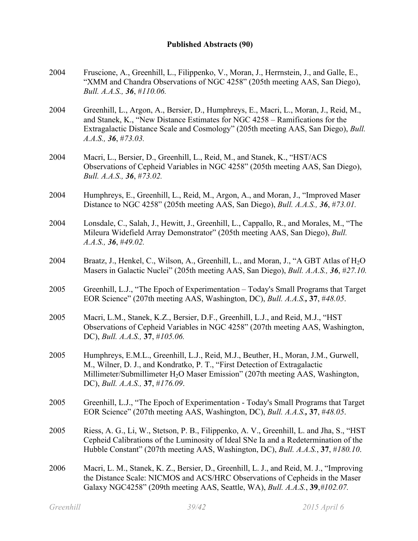- 2004 Fruscione, A., Greenhill, L., Filippenko, V., Moran, J., Herrnstein, J., and Galle, E., "XMM and Chandra Observations of NGC 4258" (205th meeting AAS, San Diego), *Bull. A.A.S., 36*, #*110.06.*
- 2004 Greenhill, L., Argon, A., Bersier, D., Humphreys, E., Macri, L., Moran, J., Reid, M., and Stanek, K., "New Distance Estimates for NGC 4258 – Ramifications for the Extragalactic Distance Scale and Cosmology" (205th meeting AAS, San Diego), *Bull. A.A.S., 36*, #*73.03.*
- 2004 Macri, L., Bersier, D., Greenhill, L., Reid, M., and Stanek, K., "HST/ACS Observations of Cepheid Variables in NGC 4258" (205th meeting AAS, San Diego), *Bull. A.A.S., 36*, #*73.02.*
- 2004 Humphreys, E., Greenhill, L., Reid, M., Argon, A., and Moran, J., "Improved Maser Distance to NGC 4258" (205th meeting AAS, San Diego), *Bull. A.A.S., 36*, #*73.01.*
- 2004 Lonsdale, C., Salah, J., Hewitt, J., Greenhill, L., Cappallo, R., and Morales, M., "The Mileura Widefield Array Demonstrator" (205th meeting AAS, San Diego), *Bull. A.A.S., 36*, #*49.02.*
- 2004 Braatz, J., Henkel, C., Wilson, A., Greenhill, L., and Moran, J., "A GBT Atlas of H<sub>2</sub>O Masers in Galactic Nuclei" (205th meeting AAS, San Diego), *Bull. A.A.S., 36*, #*27.10.*
- 2005 Greenhill, L.J., "The Epoch of Experimentation Today's Small Programs that Target EOR Science" (207th meeting AAS, Washington, DC), *Bull. A.A.S.,* **37**, #*48.05*.
- 2005 Macri, L.M., Stanek, K.Z., Bersier, D.F., Greenhill, L.J., and Reid, M.J., "HST Observations of Cepheid Variables in NGC 4258" (207th meeting AAS, Washington, DC), *Bull. A.A.S.,* **37**, #*105.06.*
- 2005 Humphreys, E.M.L., Greenhill, L.J., Reid, M.J., Beuther, H., Moran, J.M., Gurwell, M., Wilner, D. J., and Kondratko, P. T., "First Detection of Extragalactic Millimeter/Submillimeter  $H_2O$  Maser Emission" (207th meeting AAS, Washington, DC), *Bull. A.A.S.,* **37**, #*176.09*.
- 2005 Greenhill, L.J., "The Epoch of Experimentation Today's Small Programs that Target EOR Science" (207th meeting AAS, Washington, DC), *Bull. A.A.S.,* **37**, #*48.05*.
- 2005 Riess, A. G., Li, W., Stetson, P. B., Filippenko, A. V., Greenhill, L. and Jha, S., "HST Cepheid Calibrations of the Luminosity of Ideal SNe Ia and a Redetermination of the Hubble Constant" (207th meeting AAS, Washington, DC), *Bull. A.A.S.*, **37**, #*180.10*.
- 2006 Macri, L. M., Stanek, K. Z., Bersier, D., Greenhill, L. J., and Reid, M. J., "Improving the Distance Scale: NICMOS and ACS/HRC Observations of Cepheids in the Maser Galaxy NGC4258" (209th meeting AAS, Seattle, WA), *Bull. A.A.S.*, **39**,*#102.07.*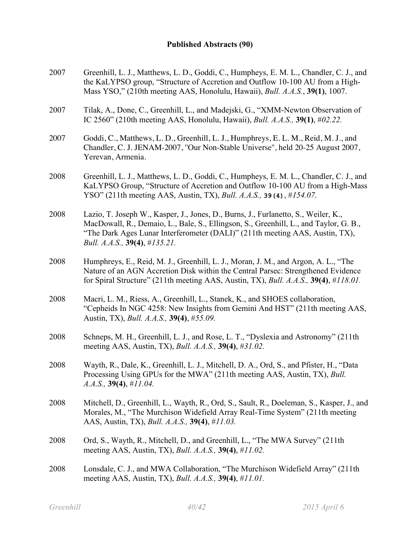- 2007 Greenhill, L. J., Matthews, L. D., Goddi, C., Humpheys, E. M. L., Chandler, C. J., and the KaLYPSO group, "Structure of Accretion and Outflow 10-100 AU from a High-Mass YSO," (210th meeting AAS, Honolulu, Hawaii), *Bull. A.A.S.*, **39(1)**, 1007.
- 2007 Tilak, A., Done, C., Greenhill, L., and Madejski, G., "XMM-Newton Observation of IC 2560" (210th meeting AAS, Honolulu, Hawaii), *Bull. A.A.S.,* **39(1)**, #*02.22.*
- 2007 Goddi, C., Matthews, L. D., Greenhill, L. J., Humphreys, E. L. M., Reid, M. J., and Chandler, C. J. JENAM-2007, ''Our Non-Stable Universe'', held 20-25 August 2007, Yerevan, Armenia.
- 2008 Greenhill, L. J., Matthews, L. D., Goddi, C., Humpheys, E. M. L., Chandler, C. J., and KaLYPSO Group, "Structure of Accretion and Outflow 10-100 AU from a High-Mass YSO" (211th meeting AAS, Austin, TX), *Bull. A.A.S.,* **39(4)**, #*154.07*.
- 2008 Lazio, T. Joseph W., Kasper, J., Jones, D., Burns, J., Furlanetto, S., Weiler, K., MacDowall, R., Demaio, L., Bale, S., Ellingson, S., Greenhill, L., and Taylor, G. B., "The Dark Ages Lunar Interferometer (DALI)" (211th meeting AAS, Austin, TX), *Bull. A.A.S.,* **39(4)**, #*135.21.*
- 2008 Humphreys, E., Reid, M. J., Greenhill, L. J., Moran, J. M., and Argon, A. L., "The Nature of an AGN Accretion Disk within the Central Parsec: Strengthened Evidence for Spiral Structure" (211th meeting AAS, Austin, TX), *Bull. A.A.S.,* **39(4)**, #*118.01.*
- 2008 Macri, L. M., Riess, A., Greenhill, L., Stanek, K., and SHOES collaboration, "Cepheids In NGC 4258: New Insights from Gemini And HST" (211th meeting AAS, Austin, TX), *Bull. A.A.S.,* **39(4)**, #*55.09.*
- 2008 Schneps, M. H., Greenhill, L. J., and Rose, L. T., "Dyslexia and Astronomy" (211th meeting AAS, Austin, TX), *Bull. A.A.S.,* **39(4)**, #*31.02.*
- 2008 Wayth, R., Dale, K., Greenhill, L. J., Mitchell, D. A., Ord, S., and Pfister, H., "Data Processing Using GPUs for the MWA" (211th meeting AAS, Austin, TX), *Bull. A.A.S.,* **39(4)**, #*11.04.*
- 2008 Mitchell, D., Greenhill, L., Wayth, R., Ord, S., Sault, R., Doeleman, S., Kasper, J., and Morales, M., "The Murchison Widefield Array Real-Time System" (211th meeting AAS, Austin, TX), *Bull. A.A.S.,* **39(4)**, #*11.03.*
- 2008 Ord, S., Wayth, R., Mitchell, D., and Greenhill, L., "The MWA Survey" (211th meeting AAS, Austin, TX), *Bull. A.A.S.,* **39(4)**, #*11.02.*
- 2008 Lonsdale, C. J., and MWA Collaboration, "The Murchison Widefield Array" (211th meeting AAS, Austin, TX), *Bull. A.A.S.,* **39(4)**, #*11.01.*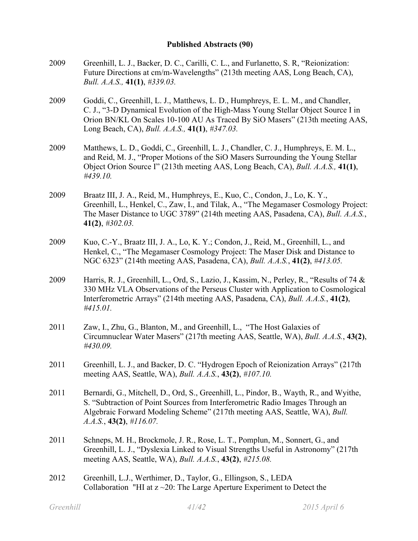- 2009 Greenhill, L. J., Backer, D. C., Carilli, C. L., and Furlanetto, S. R, "Reionization: Future Directions at cm/m-Wavelengths" (213th meeting AAS, Long Beach, CA), *Bull. A.A.S.,* **41(1)**, *#339.03.*
- 2009 Goddi, C., Greenhill, L. J., Matthews, L. D., Humphreys, E. L. M., and Chandler, C. J., "3-D Dynamical Evolution of the High-Mass Young Stellar Object Source I in Orion BN/KL On Scales 10-100 AU As Traced By SiO Masers" (213th meeting AAS, Long Beach, CA), *Bull. A.A.S.,* **41(1)**, *#347.03.*
- 2009 Matthews, L. D., Goddi, C., Greenhill, L. J., Chandler, C. J., Humphreys, E. M. L., and Reid, M. J., "Proper Motions of the SiO Masers Surrounding the Young Stellar Object Orion Source I" (213th meeting AAS, Long Beach, CA), *Bull. A.A.S.,* **41(1)**, *#439.10.*
- 2009 Braatz III, J. A., Reid, M., Humphreys, E., Kuo, C., Condon, J., Lo, K. Y., Greenhill, L., Henkel, C., Zaw, I., and Tilak, A., "The Megamaser Cosmology Project: The Maser Distance to UGC 3789" (214th meeting AAS, Pasadena, CA), *Bull. A.A.S.*, **41(2)**, *#302.03.*
- 2009 Kuo, C.-Y., Braatz III, J. A., Lo, K. Y.; Condon, J., Reid, M., Greenhill, L., and Henkel, C., "The Megamaser Cosmology Project: The Maser Disk and Distance to NGC 6323" (214th meeting AAS, Pasadena, CA), *Bull. A.A.S.*, **41(2)**, *#413.05.*
- 2009 Harris, R. J., Greenhill, L., Ord, S., Lazio, J., Kassim, N., Perley, R., "Results of 74 & 330 MHz VLA Observations of the Perseus Cluster with Application to Cosmological Interferometric Arrays" (214th meeting AAS, Pasadena, CA), *Bull. A.A.S.*, **41(2)**, *#415.01.*
- 2011 Zaw, I., Zhu, G., Blanton, M., and Greenhill, L., "The Host Galaxies of Circumnuclear Water Masers" (217th meeting AAS, Seattle, WA), *Bull. A.A.S.*, **43(2)**, *#430.09.*
- 2011 Greenhill, L. J., and Backer, D. C. "Hydrogen Epoch of Reionization Arrays" (217th meeting AAS, Seattle, WA), *Bull. A.A.S.*, **43(2)**, *#107.10.*
- 2011 Bernardi, G., Mitchell, D., Ord, S., Greenhill, L., Pindor, B., Wayth, R., and Wyithe, S. "Subtraction of Point Sources from Interferometric Radio Images Through an Algebraic Forward Modeling Scheme" (217th meeting AAS, Seattle, WA), *Bull. A.A.S.*, **43(2)**, *#116.07.*
- 2011 Schneps, M. H., Brockmole, J. R., Rose, L. T., Pomplun, M., Sonnert, G., and Greenhill, L. J., "Dyslexia Linked to Visual Strengths Useful in Astronomy" (217th meeting AAS, Seattle, WA), *Bull. A.A.S.*, **43(2)**, *#215.08.*
- 2012 Greenhill, L.J., Werthimer, D., Taylor, G., Ellingson, S., LEDA Collaboration "HI at  $z \sim 20$ : The Large Aperture Experiment to Detect the